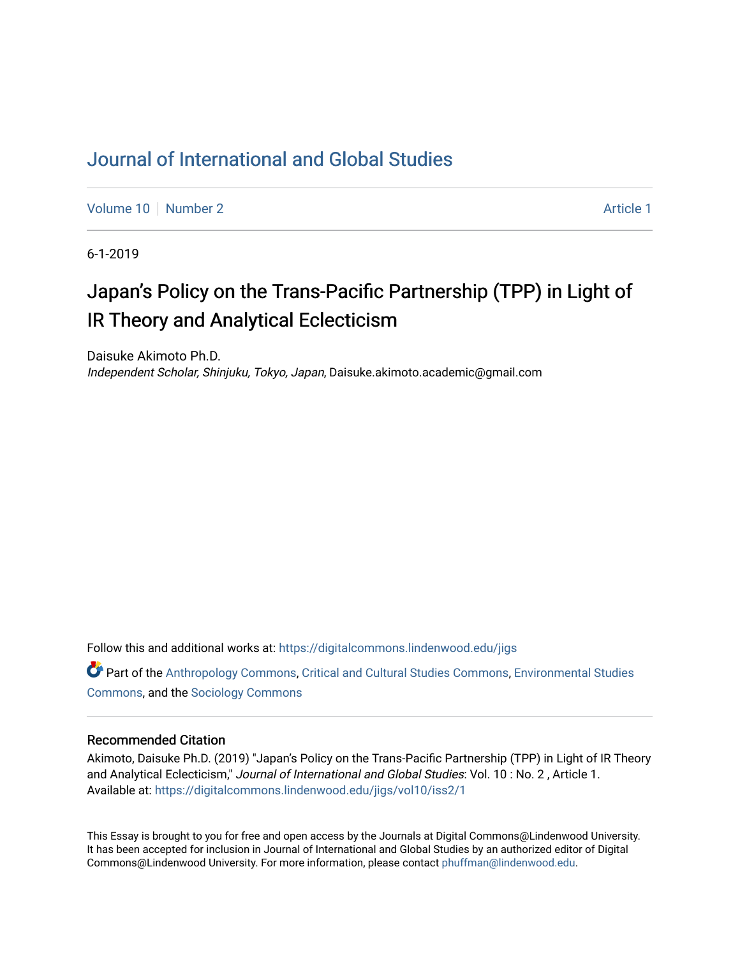# [Journal of International and Global Studies](https://digitalcommons.lindenwood.edu/jigs)

[Volume 10](https://digitalcommons.lindenwood.edu/jigs/vol10) [Number 2](https://digitalcommons.lindenwood.edu/jigs/vol10/iss2) Article 1

6-1-2019

# Japan's Policy on the Trans-Pacific Partnership (TPP) in Light of IR Theory and Analytical Eclecticism

Daisuke Akimoto Ph.D. Independent Scholar, Shinjuku, Tokyo, Japan, Daisuke.akimoto.academic@gmail.com

Follow this and additional works at: [https://digitalcommons.lindenwood.edu/jigs](https://digitalcommons.lindenwood.edu/jigs?utm_source=digitalcommons.lindenwood.edu%2Fjigs%2Fvol10%2Fiss2%2F1&utm_medium=PDF&utm_campaign=PDFCoverPages) 

**C** Part of the [Anthropology Commons](http://network.bepress.com/hgg/discipline/318?utm_source=digitalcommons.lindenwood.edu%2Fjigs%2Fvol10%2Fiss2%2F1&utm_medium=PDF&utm_campaign=PDFCoverPages), [Critical and Cultural Studies Commons](http://network.bepress.com/hgg/discipline/328?utm_source=digitalcommons.lindenwood.edu%2Fjigs%2Fvol10%2Fiss2%2F1&utm_medium=PDF&utm_campaign=PDFCoverPages), Environmental Studies [Commons](http://network.bepress.com/hgg/discipline/1333?utm_source=digitalcommons.lindenwood.edu%2Fjigs%2Fvol10%2Fiss2%2F1&utm_medium=PDF&utm_campaign=PDFCoverPages), and the [Sociology Commons](http://network.bepress.com/hgg/discipline/416?utm_source=digitalcommons.lindenwood.edu%2Fjigs%2Fvol10%2Fiss2%2F1&utm_medium=PDF&utm_campaign=PDFCoverPages)

#### Recommended Citation

Akimoto, Daisuke Ph.D. (2019) "Japan's Policy on the Trans-Pacific Partnership (TPP) in Light of IR Theory and Analytical Eclecticism," Journal of International and Global Studies: Vol. 10 : No. 2 , Article 1. Available at: [https://digitalcommons.lindenwood.edu/jigs/vol10/iss2/1](https://digitalcommons.lindenwood.edu/jigs/vol10/iss2/1?utm_source=digitalcommons.lindenwood.edu%2Fjigs%2Fvol10%2Fiss2%2F1&utm_medium=PDF&utm_campaign=PDFCoverPages) 

This Essay is brought to you for free and open access by the Journals at Digital Commons@Lindenwood University. It has been accepted for inclusion in Journal of International and Global Studies by an authorized editor of Digital Commons@Lindenwood University. For more information, please contact [phuffman@lindenwood.edu](mailto:phuffman@lindenwood.edu).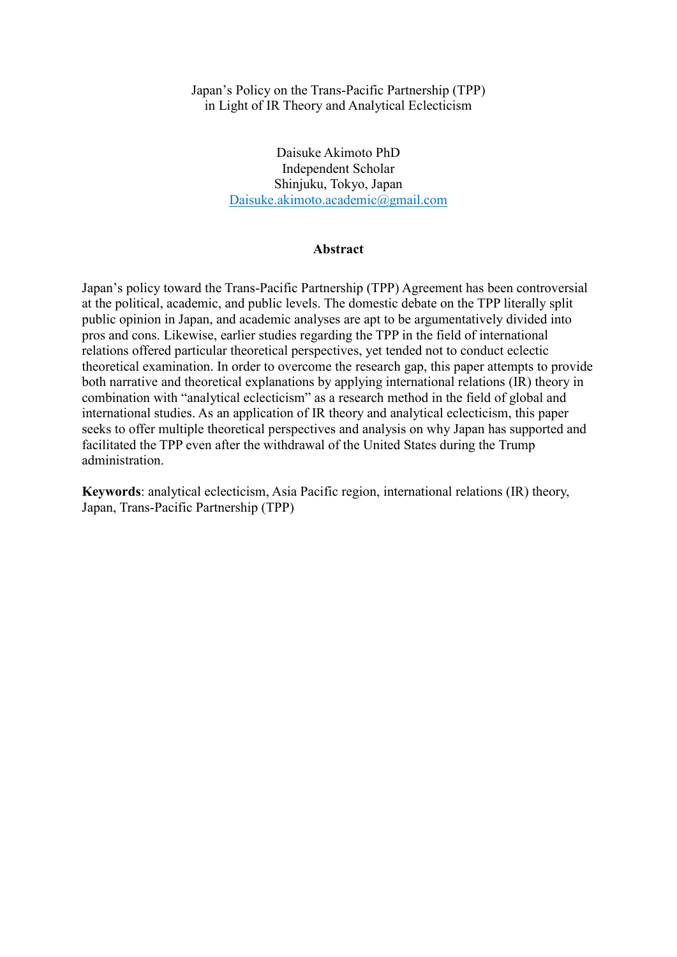# Japan's Policy on the Trans-Pacific Partnership (TPP) in Light of IR Theory and Analytical Eclecticism

Daisuke Akimoto PhD Independent Scholar Shinjuku, Tokyo, Japan Daisuke.akimoto.academic@gmail.com

# **Abstract**

Japan's policy toward the Trans-Pacific Partnership (TPP) Agreement has been controversial at the political, academic, and public levels. The domestic debate on the TPP literally split public opinion in Japan, and academic analyses are apt to be argumentatively divided into pros and cons. Likewise, earlier studies regarding the TPP in the field of international relations offered particular theoretical perspectives, yet tended not to conduct eclectic theoretical examination. In order to overcome the research gap, this paper attempts to provide both narrative and theoretical explanations by applying international relations (IR) theory in combination with "analytical eclecticism" as a research method in the field of global and international studies. As an application of IR theory and analytical eclecticism, this paper seeks to offer multiple theoretical perspectives and analysis on why Japan has supported and facilitated the TPP even after the withdrawal of the United States during the Trump administration.

**Keywords**: analytical eclecticism, Asia Pacific region, international relations (IR) theory, Japan, Trans-Pacific Partnership (TPP)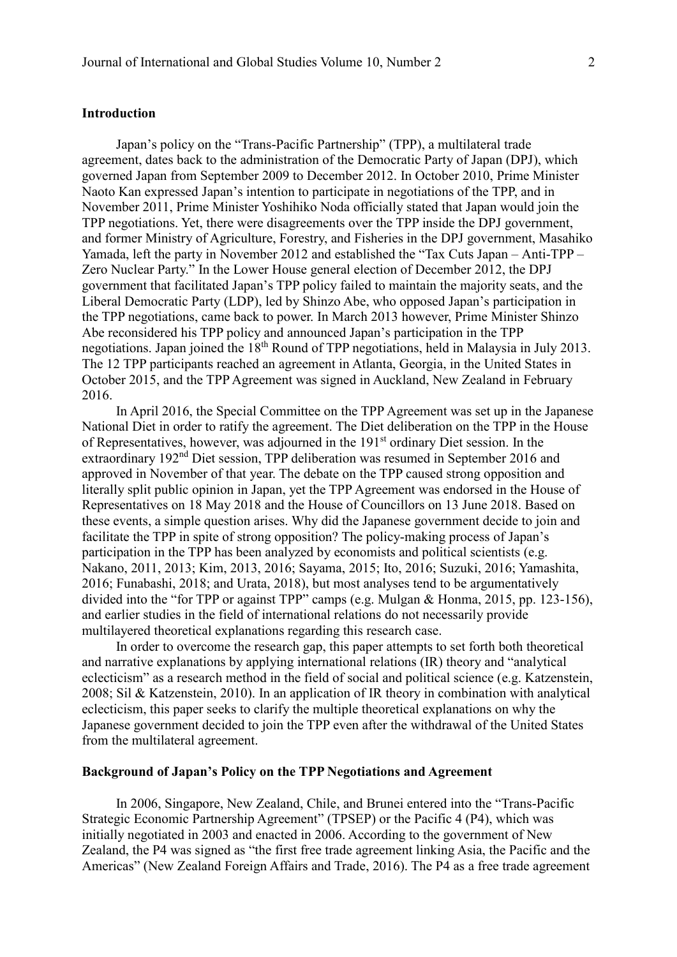# **Introduction**

Japan's policy on the "Trans-Pacific Partnership" (TPP), a multilateral trade agreement, dates back to the administration of the Democratic Party of Japan (DPJ), which governed Japan from September 2009 to December 2012. In October 2010, Prime Minister Naoto Kan expressed Japan's intention to participate in negotiations of the TPP, and in November 2011, Prime Minister Yoshihiko Noda officially stated that Japan would join the TPP negotiations. Yet, there were disagreements over the TPP inside the DPJ government, and former Ministry of Agriculture, Forestry, and Fisheries in the DPJ government, Masahiko Yamada, left the party in November 2012 and established the "Tax Cuts Japan – Anti-TPP – Zero Nuclear Party." In the Lower House general election of December 2012, the DPJ government that facilitated Japan's TPP policy failed to maintain the majority seats, and the Liberal Democratic Party (LDP), led by Shinzo Abe, who opposed Japan's participation in the TPP negotiations, came back to power. In March 2013 however, Prime Minister Shinzo Abe reconsidered his TPP policy and announced Japan's participation in the TPP negotiations. Japan joined the 18<sup>th</sup> Round of TPP negotiations, held in Malaysia in July 2013. The 12 TPP participants reached an agreement in Atlanta, Georgia, in the United States in October 2015, and the TPP Agreement was signed in Auckland, New Zealand in February 2016.

In April 2016, the Special Committee on the TPP Agreement was set up in the Japanese National Diet in order to ratify the agreement. The Diet deliberation on the TPP in the House of Representatives, however, was adjourned in the 191st ordinary Diet session. In the extraordinary 192nd Diet session, TPP deliberation was resumed in September 2016 and approved in November of that year. The debate on the TPP caused strong opposition and literally split public opinion in Japan, yet the TPP Agreement was endorsed in the House of Representatives on 18 May 2018 and the House of Councillors on 13 June 2018. Based on these events, a simple question arises. Why did the Japanese government decide to join and facilitate the TPP in spite of strong opposition? The policy-making process of Japan's participation in the TPP has been analyzed by economists and political scientists (e.g. Nakano, 2011, 2013; Kim, 2013, 2016; Sayama, 2015; Ito, 2016; Suzuki, 2016; Yamashita, 2016; Funabashi, 2018; and Urata, 2018), but most analyses tend to be argumentatively divided into the "for TPP or against TPP" camps (e.g. Mulgan & Honma, 2015, pp. 123-156), and earlier studies in the field of international relations do not necessarily provide multilayered theoretical explanations regarding this research case.

In order to overcome the research gap, this paper attempts to set forth both theoretical and narrative explanations by applying international relations (IR) theory and "analytical eclecticism" as a research method in the field of social and political science (e.g. Katzenstein, 2008; Sil & Katzenstein, 2010). In an application of IR theory in combination with analytical eclecticism, this paper seeks to clarify the multiple theoretical explanations on why the Japanese government decided to join the TPP even after the withdrawal of the United States from the multilateral agreement.

# **Background of Japan's Policy on the TPP Negotiations and Agreement**

In 2006, Singapore, New Zealand, Chile, and Brunei entered into the "Trans-Pacific Strategic Economic Partnership Agreement" (TPSEP) or the Pacific 4 (P4), which was initially negotiated in 2003 and enacted in 2006. According to the government of New Zealand, the P4 was signed as "the first free trade agreement linking Asia, the Pacific and the Americas" (New Zealand Foreign Affairs and Trade, 2016). The P4 as a free trade agreement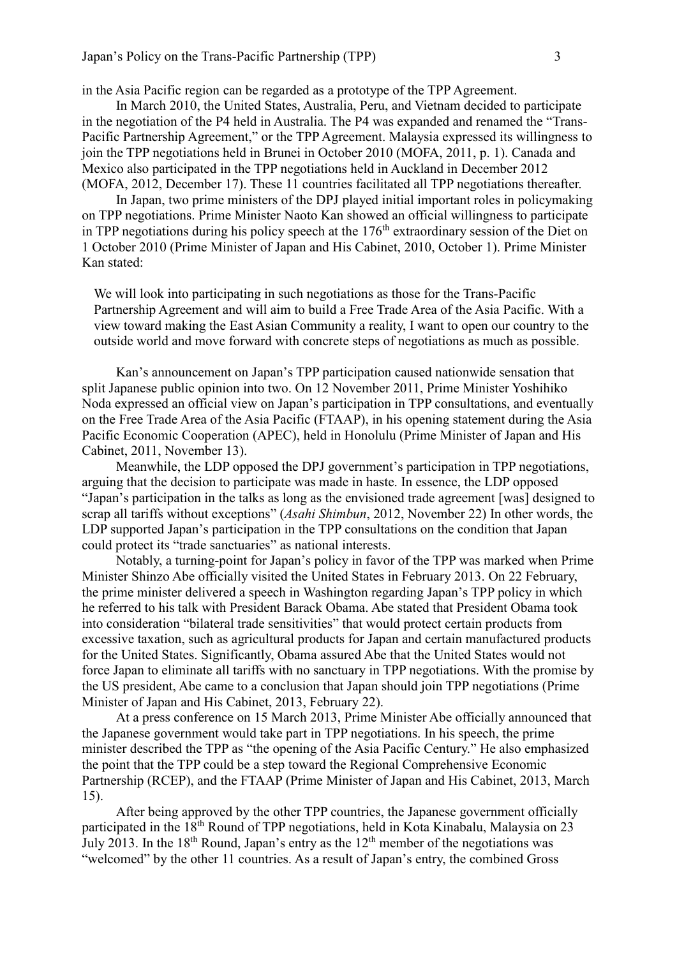in the Asia Pacific region can be regarded as a prototype of the TPP Agreement.

In March 2010, the United States, Australia, Peru, and Vietnam decided to participate in the negotiation of the P4 held in Australia. The P4 was expanded and renamed the "Trans-Pacific Partnership Agreement," or the TPP Agreement. Malaysia expressed its willingness to join the TPP negotiations held in Brunei in October 2010 (MOFA, 2011, p. 1). Canada and Mexico also participated in the TPP negotiations held in Auckland in December 2012 (MOFA, 2012, December 17). These 11 countries facilitated all TPP negotiations thereafter.

In Japan, two prime ministers of the DPJ played initial important roles in policymaking on TPP negotiations. Prime Minister Naoto Kan showed an official willingness to participate in TPP negotiations during his policy speech at the  $176<sup>th</sup>$  extraordinary session of the Diet on 1 October 2010 (Prime Minister of Japan and His Cabinet, 2010, October 1). Prime Minister Kan stated:

We will look into participating in such negotiations as those for the Trans-Pacific Partnership Agreement and will aim to build a Free Trade Area of the Asia Pacific. With a view toward making the East Asian Community a reality, I want to open our country to the outside world and move forward with concrete steps of negotiations as much as possible.

Kan's announcement on Japan's TPP participation caused nationwide sensation that split Japanese public opinion into two. On 12 November 2011, Prime Minister Yoshihiko Noda expressed an official view on Japan's participation in TPP consultations, and eventually on the Free Trade Area of the Asia Pacific (FTAAP), in his opening statement during the Asia Pacific Economic Cooperation (APEC), held in Honolulu (Prime Minister of Japan and His Cabinet, 2011, November 13).

Meanwhile, the LDP opposed the DPJ government's participation in TPP negotiations, arguing that the decision to participate was made in haste. In essence, the LDP opposed "Japan's participation in the talks as long as the envisioned trade agreement [was] designed to scrap all tariffs without exceptions" (*Asahi Shimbun*, 2012, November 22) In other words, the LDP supported Japan's participation in the TPP consultations on the condition that Japan could protect its "trade sanctuaries" as national interests.

Notably, a turning-point for Japan's policy in favor of the TPP was marked when Prime Minister Shinzo Abe officially visited the United States in February 2013. On 22 February, the prime minister delivered a speech in Washington regarding Japan's TPP policy in which he referred to his talk with President Barack Obama. Abe stated that President Obama took into consideration "bilateral trade sensitivities" that would protect certain products from excessive taxation, such as agricultural products for Japan and certain manufactured products for the United States. Significantly, Obama assured Abe that the United States would not force Japan to eliminate all tariffs with no sanctuary in TPP negotiations. With the promise by the US president, Abe came to a conclusion that Japan should join TPP negotiations (Prime Minister of Japan and His Cabinet, 2013, February 22).

At a press conference on 15 March 2013, Prime Minister Abe officially announced that the Japanese government would take part in TPP negotiations. In his speech, the prime minister described the TPP as "the opening of the Asia Pacific Century." He also emphasized the point that the TPP could be a step toward the Regional Comprehensive Economic Partnership (RCEP), and the FTAAP (Prime Minister of Japan and His Cabinet, 2013, March 15).

After being approved by the other TPP countries, the Japanese government officially participated in the 18<sup>th</sup> Round of TPP negotiations, held in Kota Kinabalu, Malaysia on 23 July 2013. In the  $18<sup>th</sup>$  Round, Japan's entry as the  $12<sup>th</sup>$  member of the negotiations was "welcomed" by the other 11 countries. As a result of Japan's entry, the combined Gross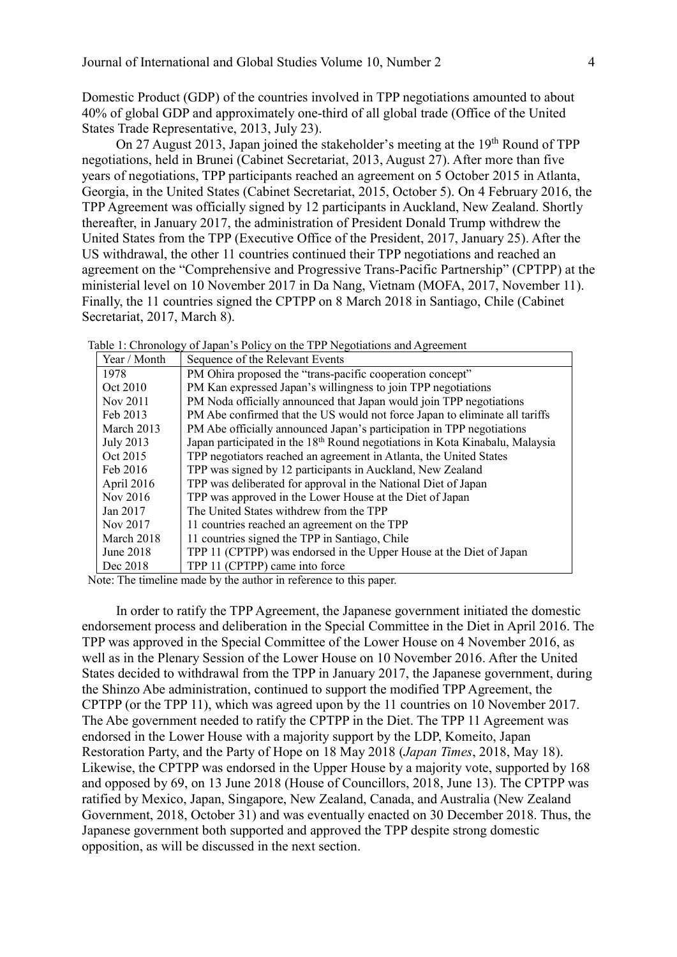Domestic Product (GDP) of the countries involved in TPP negotiations amounted to about 40% of global GDP and approximately one-third of all global trade (Office of the United States Trade Representative, 2013, July 23).

On 27 August 2013, Japan joined the stakeholder's meeting at the 19<sup>th</sup> Round of TPP negotiations, held in Brunei (Cabinet Secretariat, 2013, August 27). After more than five years of negotiations, TPP participants reached an agreement on 5 October 2015 in Atlanta, Georgia, in the United States (Cabinet Secretariat, 2015, October 5). On 4 February 2016, the TPP Agreement was officially signed by 12 participants in Auckland, New Zealand. Shortly thereafter, in January 2017, the administration of President Donald Trump withdrew the United States from the TPP (Executive Office of the President, 2017, January 25). After the US withdrawal, the other 11 countries continued their TPP negotiations and reached an agreement on the "Comprehensive and Progressive Trans-Pacific Partnership" (CPTPP) at the ministerial level on 10 November 2017 in Da Nang, Vietnam (MOFA, 2017, November 11). Finally, the 11 countries signed the CPTPP on 8 March 2018 in Santiago, Chile (Cabinet Secretariat, 2017, March 8).

| Year / Month | Sequence of the Relevant Events                                                          |  |  |  |  |
|--------------|------------------------------------------------------------------------------------------|--|--|--|--|
| 1978         | PM Ohira proposed the "trans-pacific cooperation concept"                                |  |  |  |  |
| Oct 2010     | PM Kan expressed Japan's willingness to join TPP negotiations                            |  |  |  |  |
| Nov 2011     | PM Noda officially announced that Japan would join TPP negotiations                      |  |  |  |  |
| Feb 2013     | PM Abe confirmed that the US would not force Japan to eliminate all tariffs              |  |  |  |  |
| March 2013   | PM Abe officially announced Japan's participation in TPP negotiations                    |  |  |  |  |
| July 2013    | Japan participated in the 18 <sup>th</sup> Round negotiations in Kota Kinabalu, Malaysia |  |  |  |  |
| Oct 2015     | TPP negotiators reached an agreement in Atlanta, the United States                       |  |  |  |  |
| Feb 2016     | TPP was signed by 12 participants in Auckland, New Zealand                               |  |  |  |  |
| April 2016   | TPP was deliberated for approval in the National Diet of Japan                           |  |  |  |  |
| Nov 2016     | TPP was approved in the Lower House at the Diet of Japan                                 |  |  |  |  |
| Jan 2017     | The United States withdrew from the TPP                                                  |  |  |  |  |
| Nov 2017     | 11 countries reached an agreement on the TPP                                             |  |  |  |  |
| March 2018   | 11 countries signed the TPP in Santiago, Chile                                           |  |  |  |  |
| June 2018    | TPP 11 (CPTPP) was endorsed in the Upper House at the Diet of Japan                      |  |  |  |  |
| Dec 2018     | TPP 11 (CPTPP) came into force                                                           |  |  |  |  |

Table 1: Chronology of Japan's Policy on the TPP Negotiations and Agreement

Note: The timeline made by the author in reference to this paper.

In order to ratify the TPP Agreement, the Japanese government initiated the domestic endorsement process and deliberation in the Special Committee in the Diet in April 2016. The TPP was approved in the Special Committee of the Lower House on 4 November 2016, as well as in the Plenary Session of the Lower House on 10 November 2016. After the United States decided to withdrawal from the TPP in January 2017, the Japanese government, during the Shinzo Abe administration, continued to support the modified TPP Agreement, the CPTPP (or the TPP 11), which was agreed upon by the 11 countries on 10 November 2017. The Abe government needed to ratify the CPTPP in the Diet. The TPP 11 Agreement was endorsed in the Lower House with a majority support by the LDP, Komeito, Japan Restoration Party, and the Party of Hope on 18 May 2018 (*Japan Times*, 2018, May 18). Likewise, the CPTPP was endorsed in the Upper House by a majority vote, supported by 168 and opposed by 69, on 13 June 2018 (House of Councillors, 2018, June 13). The CPTPP was ratified by Mexico, Japan, Singapore, New Zealand, Canada, and Australia (New Zealand Government, 2018, October 31) and was eventually enacted on 30 December 2018. Thus, the Japanese government both supported and approved the TPP despite strong domestic opposition, as will be discussed in the next section.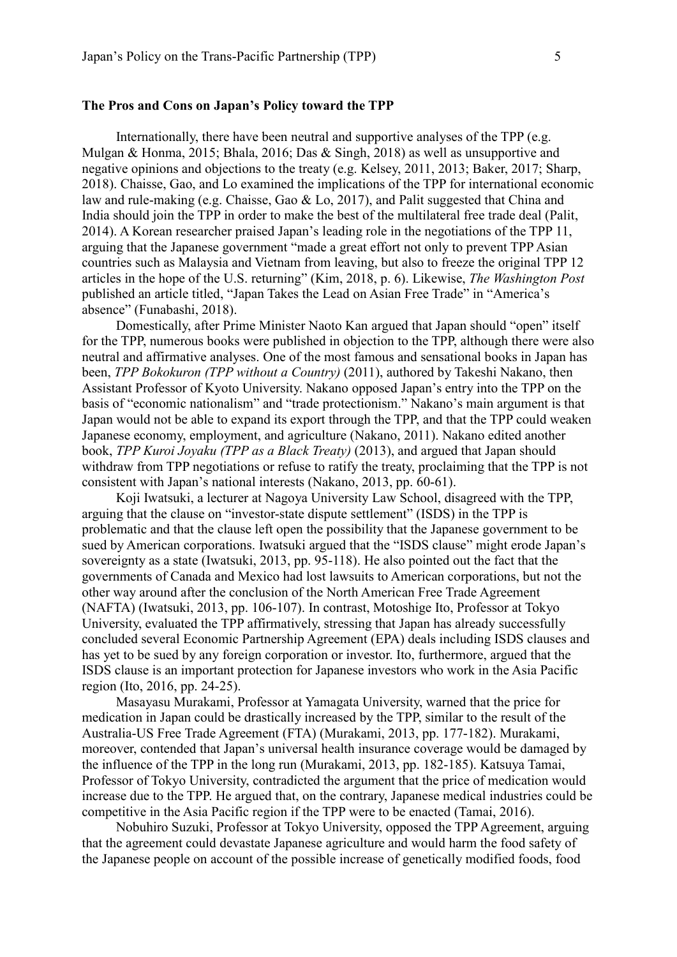Internationally, there have been neutral and supportive analyses of the TPP (e.g. Mulgan & Honma, 2015; Bhala, 2016; Das & Singh, 2018) as well as unsupportive and negative opinions and objections to the treaty (e.g. Kelsey, 2011, 2013; Baker, 2017; Sharp, 2018). Chaisse, Gao, and Lo examined the implications of the TPP for international economic law and rule-making (e.g. Chaisse, Gao & Lo, 2017), and Palit suggested that China and India should join the TPP in order to make the best of the multilateral free trade deal (Palit, 2014). A Korean researcher praised Japan's leading role in the negotiations of the TPP 11, arguing that the Japanese government "made a great effort not only to prevent TPP Asian countries such as Malaysia and Vietnam from leaving, but also to freeze the original TPP 12 articles in the hope of the U.S. returning" (Kim, 2018, p. 6). Likewise, *The Washington Post* published an article titled, "Japan Takes the Lead on Asian Free Trade" in "America's absence" (Funabashi, 2018).

Domestically, after Prime Minister Naoto Kan argued that Japan should "open" itself for the TPP, numerous books were published in objection to the TPP, although there were also neutral and affirmative analyses. One of the most famous and sensational books in Japan has been, *TPP Bokokuron (TPP without a Country)* (2011), authored by Takeshi Nakano, then Assistant Professor of Kyoto University. Nakano opposed Japan's entry into the TPP on the basis of "economic nationalism" and "trade protectionism." Nakano's main argument is that Japan would not be able to expand its export through the TPP, and that the TPP could weaken Japanese economy, employment, and agriculture (Nakano, 2011). Nakano edited another book, *TPP Kuroi Joyaku (TPP as a Black Treaty)* (2013), and argued that Japan should withdraw from TPP negotiations or refuse to ratify the treaty, proclaiming that the TPP is not consistent with Japan's national interests (Nakano, 2013, pp. 60-61).

Koji Iwatsuki, a lecturer at Nagoya University Law School, disagreed with the TPP, arguing that the clause on "investor-state dispute settlement" (ISDS) in the TPP is problematic and that the clause left open the possibility that the Japanese government to be sued by American corporations. Iwatsuki argued that the "ISDS clause" might erode Japan's sovereignty as a state (Iwatsuki, 2013, pp. 95-118). He also pointed out the fact that the governments of Canada and Mexico had lost lawsuits to American corporations, but not the other way around after the conclusion of the North American Free Trade Agreement (NAFTA) (Iwatsuki, 2013, pp. 106-107). In contrast, Motoshige Ito, Professor at Tokyo University, evaluated the TPP affirmatively, stressing that Japan has already successfully concluded several Economic Partnership Agreement (EPA) deals including ISDS clauses and has yet to be sued by any foreign corporation or investor. Ito, furthermore, argued that the ISDS clause is an important protection for Japanese investors who work in the Asia Pacific region (Ito, 2016, pp. 24-25).

Masayasu Murakami, Professor at Yamagata University, warned that the price for medication in Japan could be drastically increased by the TPP, similar to the result of the Australia-US Free Trade Agreement (FTA) (Murakami, 2013, pp. 177-182). Murakami, moreover, contended that Japan's universal health insurance coverage would be damaged by the influence of the TPP in the long run (Murakami, 2013, pp. 182-185). Katsuya Tamai, Professor of Tokyo University, contradicted the argument that the price of medication would increase due to the TPP. He argued that, on the contrary, Japanese medical industries could be competitive in the Asia Pacific region if the TPP were to be enacted (Tamai, 2016).

Nobuhiro Suzuki, Professor at Tokyo University, opposed the TPP Agreement, arguing that the agreement could devastate Japanese agriculture and would harm the food safety of the Japanese people on account of the possible increase of genetically modified foods, food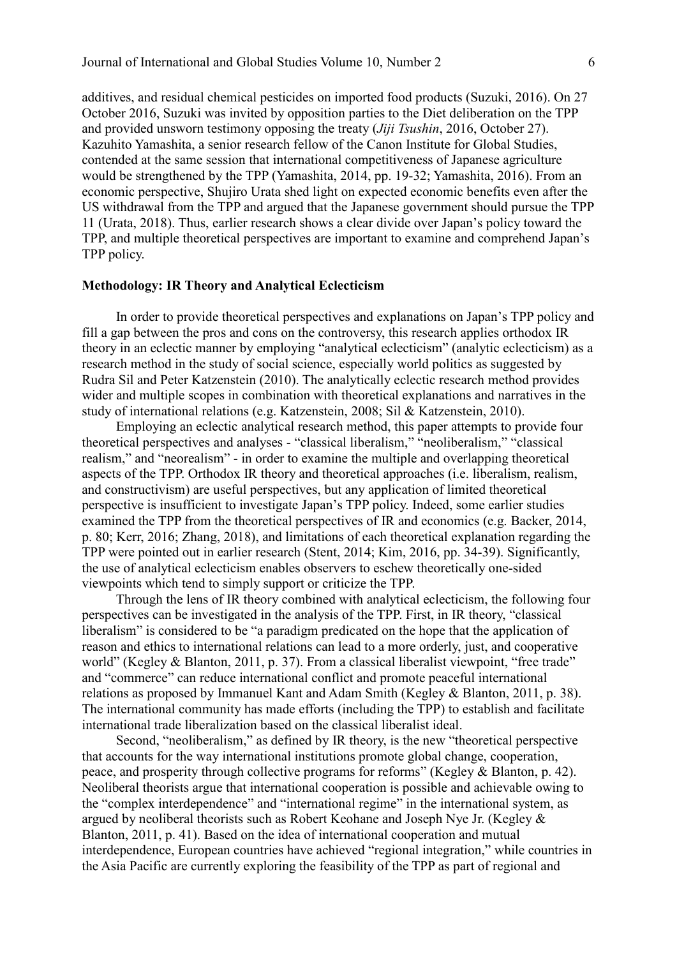additives, and residual chemical pesticides on imported food products (Suzuki, 2016). On 27 October 2016, Suzuki was invited by opposition parties to the Diet deliberation on the TPP and provided unsworn testimony opposing the treaty (*Jiji Tsushin*, 2016, October 27). Kazuhito Yamashita, a senior research fellow of the Canon Institute for Global Studies, contended at the same session that international competitiveness of Japanese agriculture would be strengthened by the TPP (Yamashita, 2014, pp. 19-32; Yamashita, 2016). From an economic perspective, Shujiro Urata shed light on expected economic benefits even after the US withdrawal from the TPP and argued that the Japanese government should pursue the TPP 11 (Urata, 2018). Thus, earlier research shows a clear divide over Japan's policy toward the TPP, and multiple theoretical perspectives are important to examine and comprehend Japan's TPP policy.

# **Methodology: IR Theory and Analytical Eclecticism**

In order to provide theoretical perspectives and explanations on Japan's TPP policy and fill a gap between the pros and cons on the controversy, this research applies orthodox IR theory in an eclectic manner by employing "analytical eclecticism" (analytic eclecticism) as a research method in the study of social science, especially world politics as suggested by Rudra Sil and Peter Katzenstein (2010). The analytically eclectic research method provides wider and multiple scopes in combination with theoretical explanations and narratives in the study of international relations (e.g. Katzenstein, 2008; Sil & Katzenstein, 2010).

Employing an eclectic analytical research method, this paper attempts to provide four theoretical perspectives and analyses - "classical liberalism," "neoliberalism," "classical realism," and "neorealism" - in order to examine the multiple and overlapping theoretical aspects of the TPP. Orthodox IR theory and theoretical approaches (i.e. liberalism, realism, and constructivism) are useful perspectives, but any application of limited theoretical perspective is insufficient to investigate Japan's TPP policy. Indeed, some earlier studies examined the TPP from the theoretical perspectives of IR and economics (e.g. Backer, 2014, p. 80; Kerr, 2016; Zhang, 2018), and limitations of each theoretical explanation regarding the TPP were pointed out in earlier research (Stent, 2014; Kim, 2016, pp. 34-39). Significantly, the use of analytical eclecticism enables observers to eschew theoretically one-sided viewpoints which tend to simply support or criticize the TPP.

Through the lens of IR theory combined with analytical eclecticism, the following four perspectives can be investigated in the analysis of the TPP. First, in IR theory, "classical liberalism" is considered to be "a paradigm predicated on the hope that the application of reason and ethics to international relations can lead to a more orderly, just, and cooperative world" (Kegley & Blanton, 2011, p. 37). From a classical liberalist viewpoint, "free trade" and "commerce" can reduce international conflict and promote peaceful international relations as proposed by Immanuel Kant and Adam Smith (Kegley & Blanton, 2011, p. 38). The international community has made efforts (including the TPP) to establish and facilitate international trade liberalization based on the classical liberalist ideal.

Second, "neoliberalism," as defined by IR theory, is the new "theoretical perspective that accounts for the way international institutions promote global change, cooperation, peace, and prosperity through collective programs for reforms" (Kegley & Blanton, p. 42). Neoliberal theorists argue that international cooperation is possible and achievable owing to the "complex interdependence" and "international regime" in the international system, as argued by neoliberal theorists such as Robert Keohane and Joseph Nye Jr. (Kegley & Blanton, 2011, p. 41). Based on the idea of international cooperation and mutual interdependence, European countries have achieved "regional integration," while countries in the Asia Pacific are currently exploring the feasibility of the TPP as part of regional and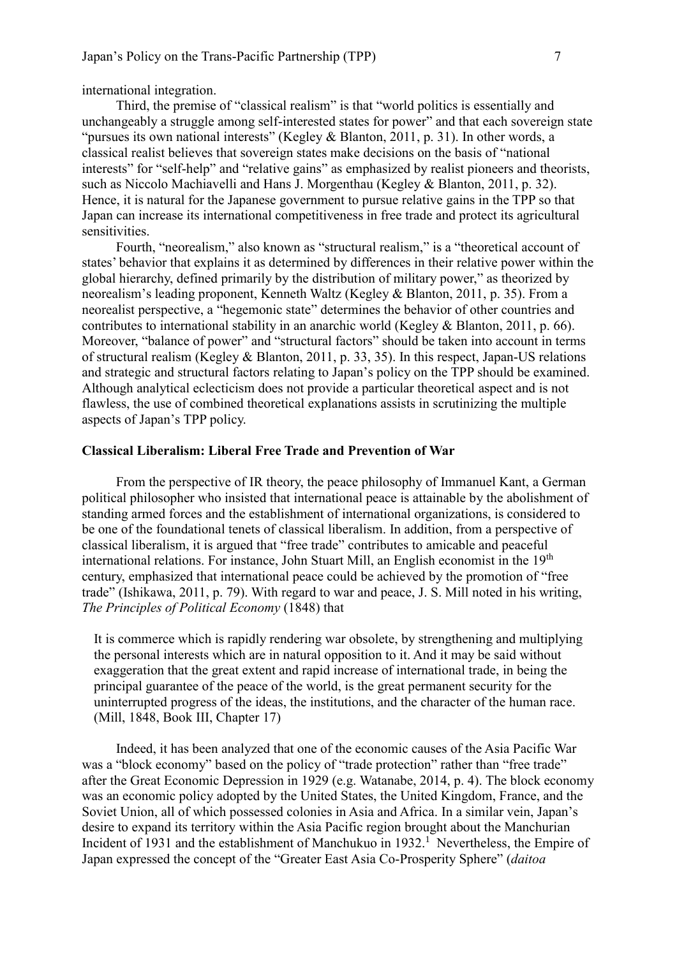international integration.

Third, the premise of "classical realism" is that "world politics is essentially and unchangeably a struggle among self-interested states for power" and that each sovereign state "pursues its own national interests" (Kegley & Blanton, 2011, p. 31). In other words, a classical realist believes that sovereign states make decisions on the basis of "national interests" for "self-help" and "relative gains" as emphasized by realist pioneers and theorists, such as Niccolo Machiavelli and Hans J. Morgenthau (Kegley & Blanton, 2011, p. 32). Hence, it is natural for the Japanese government to pursue relative gains in the TPP so that Japan can increase its international competitiveness in free trade and protect its agricultural sensitivities.

Fourth, "neorealism," also known as "structural realism," is a "theoretical account of states' behavior that explains it as determined by differences in their relative power within the global hierarchy, defined primarily by the distribution of military power," as theorized by neorealism's leading proponent, Kenneth Waltz (Kegley & Blanton, 2011, p. 35). From a neorealist perspective, a "hegemonic state" determines the behavior of other countries and contributes to international stability in an anarchic world (Kegley & Blanton, 2011, p. 66). Moreover, "balance of power" and "structural factors" should be taken into account in terms of structural realism (Kegley & Blanton, 2011, p. 33, 35). In this respect, Japan-US relations and strategic and structural factors relating to Japan's policy on the TPP should be examined. Although analytical eclecticism does not provide a particular theoretical aspect and is not flawless, the use of combined theoretical explanations assists in scrutinizing the multiple aspects of Japan's TPP policy.

#### **Classical Liberalism: Liberal Free Trade and Prevention of War**

From the perspective of IR theory, the peace philosophy of Immanuel Kant, a German political philosopher who insisted that international peace is attainable by the abolishment of standing armed forces and the establishment of international organizations, is considered to be one of the foundational tenets of classical liberalism. In addition, from a perspective of classical liberalism, it is argued that "free trade" contributes to amicable and peaceful international relations. For instance, John Stuart Mill, an English economist in the 19<sup>th</sup> century, emphasized that international peace could be achieved by the promotion of "free trade" (Ishikawa, 2011, p. 79). With regard to war and peace, J. S. Mill noted in his writing, *The Principles of Political Economy* (1848) that

It is commerce which is rapidly rendering war obsolete, by strengthening and multiplying the personal interests which are in natural opposition to it. And it may be said without exaggeration that the great extent and rapid increase of international trade, in being the principal guarantee of the peace of the world, is the great permanent security for the uninterrupted progress of the ideas, the institutions, and the character of the human race. (Mill, 1848, Book III, Chapter 17)

Indeed, it has been analyzed that one of the economic causes of the Asia Pacific War was a "block economy" based on the policy of "trade protection" rather than "free trade" after the Great Economic Depression in 1929 (e.g. Watanabe, 2014, p. 4). The block economy was an economic policy adopted by the United States, the United Kingdom, France, and the Soviet Union, all of which possessed colonies in Asia and Africa. In a similar vein, Japan's desire to expand its territory within the Asia Pacific region brought about the Manchurian Incident of 1931 and the establishment of Manchukuo in 1932.<sup>1</sup> Nevertheless, the Empire of Japan expressed the concept of the "Greater East Asia Co-Prosperity Sphere" (*daitoa*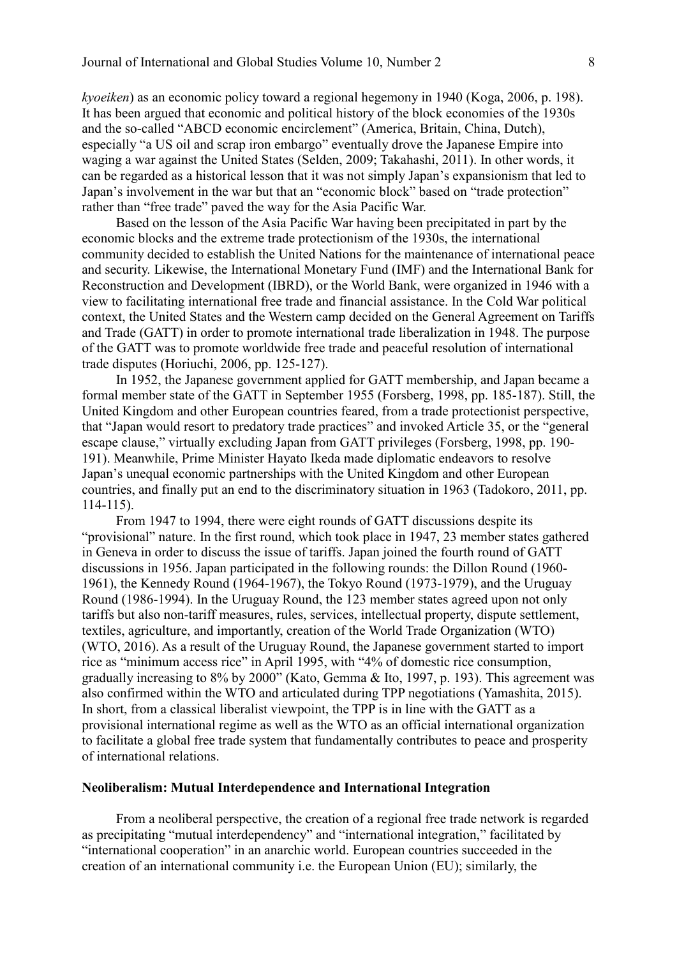*kyoeiken*) as an economic policy toward a regional hegemony in 1940 (Koga, 2006, p. 198). It has been argued that economic and political history of the block economies of the 1930s and the so-called "ABCD economic encirclement" (America, Britain, China, Dutch), especially "a US oil and scrap iron embargo" eventually drove the Japanese Empire into waging a war against the United States (Selden, 2009; Takahashi, 2011). In other words, it can be regarded as a historical lesson that it was not simply Japan's expansionism that led to Japan's involvement in the war but that an "economic block" based on "trade protection" rather than "free trade" paved the way for the Asia Pacific War.

Based on the lesson of the Asia Pacific War having been precipitated in part by the economic blocks and the extreme trade protectionism of the 1930s, the international community decided to establish the United Nations for the maintenance of international peace and security. Likewise, the International Monetary Fund (IMF) and the International Bank for Reconstruction and Development (IBRD), or the World Bank, were organized in 1946 with a view to facilitating international free trade and financial assistance. In the Cold War political context, the United States and the Western camp decided on the General Agreement on Tariffs and Trade (GATT) in order to promote international trade liberalization in 1948. The purpose of the GATT was to promote worldwide free trade and peaceful resolution of international trade disputes (Horiuchi, 2006, pp. 125-127).

In 1952, the Japanese government applied for GATT membership, and Japan became a formal member state of the GATT in September 1955 (Forsberg, 1998, pp. 185-187). Still, the United Kingdom and other European countries feared, from a trade protectionist perspective, that "Japan would resort to predatory trade practices" and invoked Article 35, or the "general escape clause," virtually excluding Japan from GATT privileges (Forsberg, 1998, pp. 190- 191). Meanwhile, Prime Minister Hayato Ikeda made diplomatic endeavors to resolve Japan's unequal economic partnerships with the United Kingdom and other European countries, and finally put an end to the discriminatory situation in 1963 (Tadokoro, 2011, pp. 114-115).

From 1947 to 1994, there were eight rounds of GATT discussions despite its "provisional" nature. In the first round, which took place in 1947, 23 member states gathered in Geneva in order to discuss the issue of tariffs. Japan joined the fourth round of GATT discussions in 1956. Japan participated in the following rounds: the Dillon Round (1960- 1961), the Kennedy Round (1964-1967), the Tokyo Round (1973-1979), and the Uruguay Round (1986-1994). In the Uruguay Round, the 123 member states agreed upon not only tariffs but also non-tariff measures, rules, services, intellectual property, dispute settlement, textiles, agriculture, and importantly, creation of the World Trade Organization (WTO) (WTO, 2016). As a result of the Uruguay Round, the Japanese government started to import rice as "minimum access rice" in April 1995, with "4% of domestic rice consumption, gradually increasing to 8% by 2000" (Kato, Gemma & Ito, 1997, p. 193). This agreement was also confirmed within the WTO and articulated during TPP negotiations (Yamashita, 2015). In short, from a classical liberalist viewpoint, the TPP is in line with the GATT as a provisional international regime as well as the WTO as an official international organization to facilitate a global free trade system that fundamentally contributes to peace and prosperity of international relations.

## **Neoliberalism: Mutual Interdependence and International Integration**

From a neoliberal perspective, the creation of a regional free trade network is regarded as precipitating "mutual interdependency" and "international integration," facilitated by "international cooperation" in an anarchic world. European countries succeeded in the creation of an international community i.e. the European Union (EU); similarly, the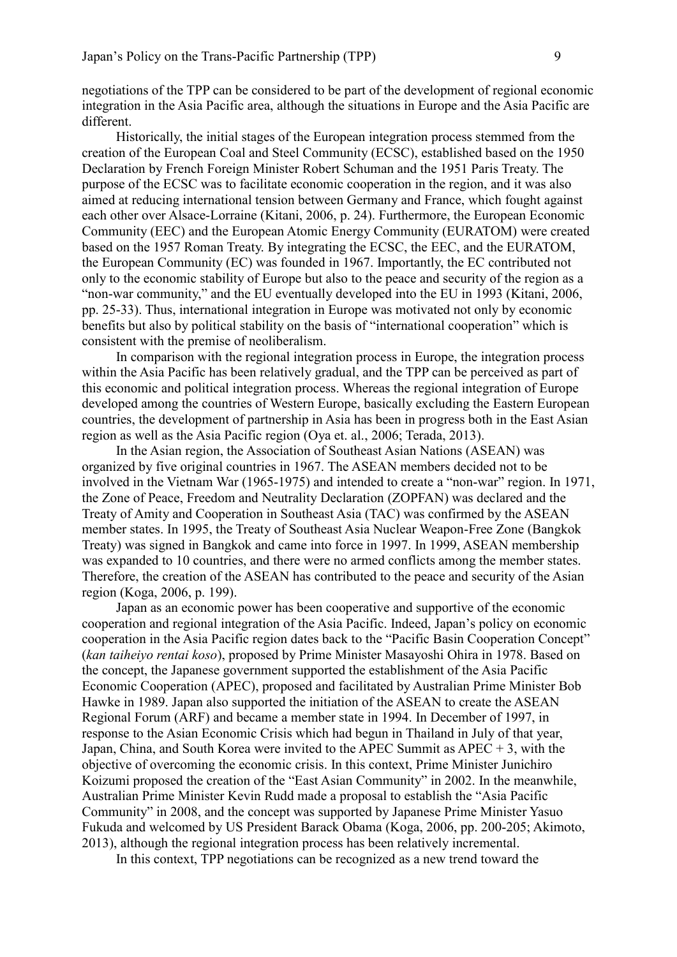negotiations of the TPP can be considered to be part of the development of regional economic integration in the Asia Pacific area, although the situations in Europe and the Asia Pacific are different.

Historically, the initial stages of the European integration process stemmed from the creation of the European Coal and Steel Community (ECSC), established based on the 1950 Declaration by French Foreign Minister Robert Schuman and the 1951 Paris Treaty. The purpose of the ECSC was to facilitate economic cooperation in the region, and it was also aimed at reducing international tension between Germany and France, which fought against each other over Alsace-Lorraine (Kitani, 2006, p. 24). Furthermore, the European Economic Community (EEC) and the European Atomic Energy Community (EURATOM) were created based on the 1957 Roman Treaty. By integrating the ECSC, the EEC, and the EURATOM, the European Community (EC) was founded in 1967. Importantly, the EC contributed not only to the economic stability of Europe but also to the peace and security of the region as a "non-war community," and the EU eventually developed into the EU in 1993 (Kitani, 2006, pp. 25-33). Thus, international integration in Europe was motivated not only by economic benefits but also by political stability on the basis of "international cooperation" which is consistent with the premise of neoliberalism.

In comparison with the regional integration process in Europe, the integration process within the Asia Pacific has been relatively gradual, and the TPP can be perceived as part of this economic and political integration process. Whereas the regional integration of Europe developed among the countries of Western Europe, basically excluding the Eastern European countries, the development of partnership in Asia has been in progress both in the East Asian region as well as the Asia Pacific region (Oya et. al., 2006; Terada, 2013).

In the Asian region, the Association of Southeast Asian Nations (ASEAN) was organized by five original countries in 1967. The ASEAN members decided not to be involved in the Vietnam War (1965-1975) and intended to create a "non-war" region. In 1971, the Zone of Peace, Freedom and Neutrality Declaration (ZOPFAN) was declared and the Treaty of Amity and Cooperation in Southeast Asia (TAC) was confirmed by the ASEAN member states. In 1995, the Treaty of Southeast Asia Nuclear Weapon-Free Zone (Bangkok Treaty) was signed in Bangkok and came into force in 1997. In 1999, ASEAN membership was expanded to 10 countries, and there were no armed conflicts among the member states. Therefore, the creation of the ASEAN has contributed to the peace and security of the Asian region (Koga, 2006, p. 199).

Japan as an economic power has been cooperative and supportive of the economic cooperation and regional integration of the Asia Pacific. Indeed, Japan's policy on economic cooperation in the Asia Pacific region dates back to the "Pacific Basin Cooperation Concept" (*kan taiheiyo rentai koso*), proposed by Prime Minister Masayoshi Ohira in 1978. Based on the concept, the Japanese government supported the establishment of the Asia Pacific Economic Cooperation (APEC), proposed and facilitated by Australian Prime Minister Bob Hawke in 1989. Japan also supported the initiation of the ASEAN to create the ASEAN Regional Forum (ARF) and became a member state in 1994. In December of 1997, in response to the Asian Economic Crisis which had begun in Thailand in July of that year, Japan, China, and South Korea were invited to the APEC Summit as APEC  $+3$ , with the objective of overcoming the economic crisis. In this context, Prime Minister Junichiro Koizumi proposed the creation of the "East Asian Community" in 2002. In the meanwhile, Australian Prime Minister Kevin Rudd made a proposal to establish the "Asia Pacific Community" in 2008, and the concept was supported by Japanese Prime Minister Yasuo Fukuda and welcomed by US President Barack Obama (Koga, 2006, pp. 200-205; Akimoto, 2013), although the regional integration process has been relatively incremental.

In this context, TPP negotiations can be recognized as a new trend toward the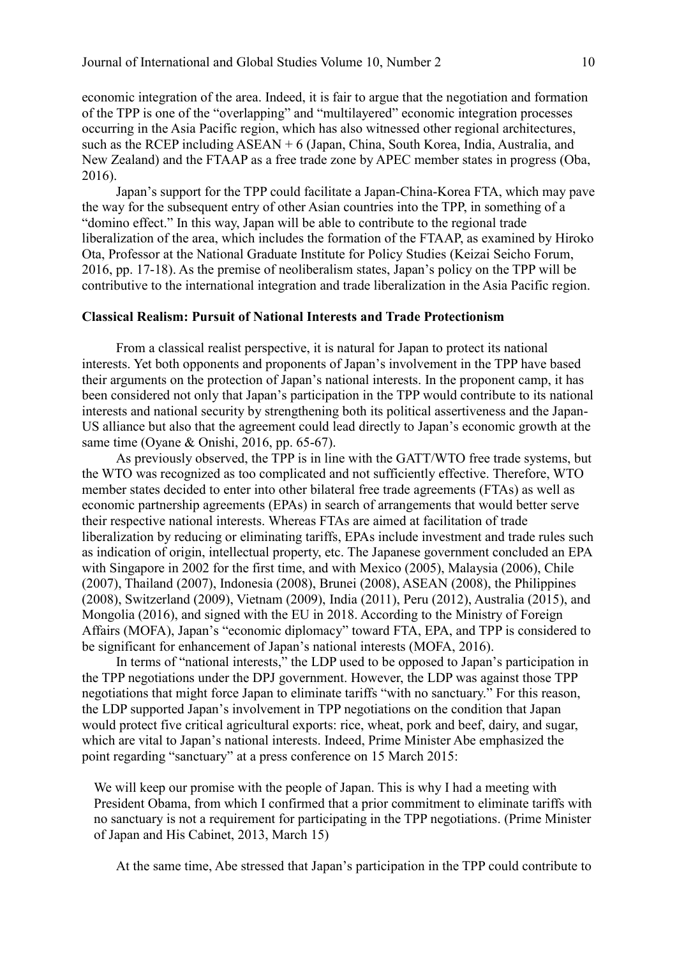economic integration of the area. Indeed, it is fair to argue that the negotiation and formation of the TPP is one of the "overlapping" and "multilayered" economic integration processes occurring in the Asia Pacific region, which has also witnessed other regional architectures, such as the RCEP including ASEAN + 6 (Japan, China, South Korea, India, Australia, and New Zealand) and the FTAAP as a free trade zone by APEC member states in progress (Oba, 2016).

Japan's support for the TPP could facilitate a Japan-China-Korea FTA, which may pave the way for the subsequent entry of other Asian countries into the TPP, in something of a "domino effect." In this way, Japan will be able to contribute to the regional trade liberalization of the area, which includes the formation of the FTAAP, as examined by Hiroko Ota, Professor at the National Graduate Institute for Policy Studies (Keizai Seicho Forum, 2016, pp. 17-18). As the premise of neoliberalism states, Japan's policy on the TPP will be contributive to the international integration and trade liberalization in the Asia Pacific region.

# **Classical Realism: Pursuit of National Interests and Trade Protectionism**

From a classical realist perspective, it is natural for Japan to protect its national interests. Yet both opponents and proponents of Japan's involvement in the TPP have based their arguments on the protection of Japan's national interests. In the proponent camp, it has been considered not only that Japan's participation in the TPP would contribute to its national interests and national security by strengthening both its political assertiveness and the Japan-US alliance but also that the agreement could lead directly to Japan's economic growth at the same time (Oyane & Onishi, 2016, pp. 65-67).

As previously observed, the TPP is in line with the GATT/WTO free trade systems, but the WTO was recognized as too complicated and not sufficiently effective. Therefore, WTO member states decided to enter into other bilateral free trade agreements (FTAs) as well as economic partnership agreements (EPAs) in search of arrangements that would better serve their respective national interests. Whereas FTAs are aimed at facilitation of trade liberalization by reducing or eliminating tariffs, EPAs include investment and trade rules such as indication of origin, intellectual property, etc. The Japanese government concluded an EPA with Singapore in 2002 for the first time, and with Mexico (2005), Malaysia (2006), Chile (2007), Thailand (2007), Indonesia (2008), Brunei (2008), ASEAN (2008), the Philippines (2008), Switzerland (2009), Vietnam (2009), India (2011), Peru (2012), Australia (2015), and Mongolia (2016), and signed with the EU in 2018. According to the Ministry of Foreign Affairs (MOFA), Japan's "economic diplomacy" toward FTA, EPA, and TPP is considered to be significant for enhancement of Japan's national interests (MOFA, 2016).

In terms of "national interests," the LDP used to be opposed to Japan's participation in the TPP negotiations under the DPJ government. However, the LDP was against those TPP negotiations that might force Japan to eliminate tariffs "with no sanctuary." For this reason, the LDP supported Japan's involvement in TPP negotiations on the condition that Japan would protect five critical agricultural exports: rice, wheat, pork and beef, dairy, and sugar, which are vital to Japan's national interests. Indeed, Prime Minister Abe emphasized the point regarding "sanctuary" at a press conference on 15 March 2015:

We will keep our promise with the people of Japan. This is why I had a meeting with President Obama, from which I confirmed that a prior commitment to eliminate tariffs with no sanctuary is not a requirement for participating in the TPP negotiations. (Prime Minister of Japan and His Cabinet, 2013, March 15)

At the same time, Abe stressed that Japan's participation in the TPP could contribute to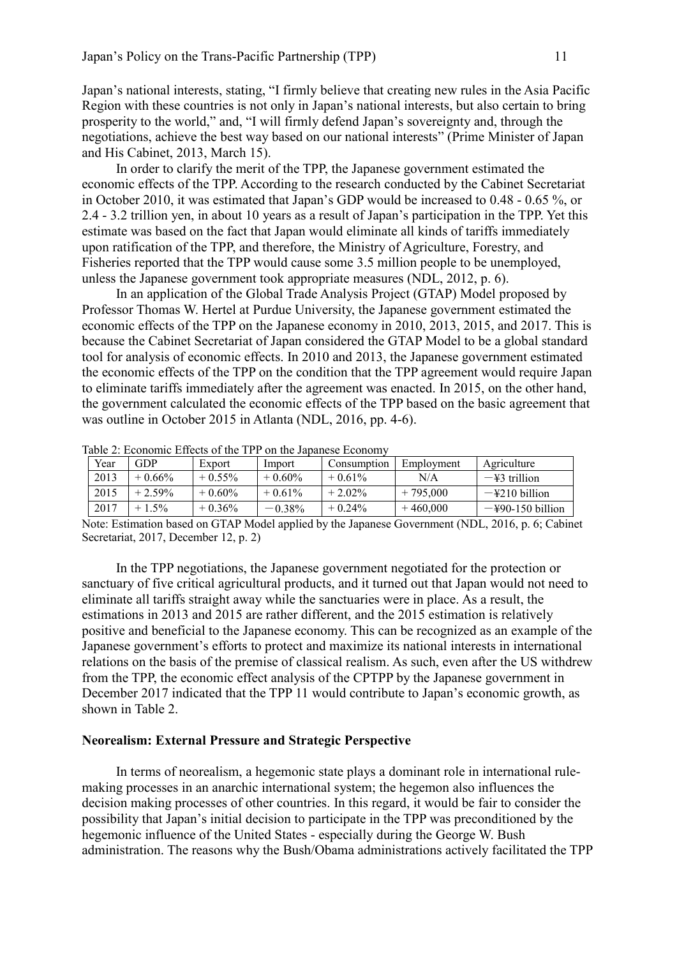Japan's national interests, stating, "I firmly believe that creating new rules in the Asia Pacific Region with these countries is not only in Japan's national interests, but also certain to bring prosperity to the world," and, "I will firmly defend Japan's sovereignty and, through the negotiations, achieve the best way based on our national interests" (Prime Minister of Japan and His Cabinet, 2013, March 15).

In order to clarify the merit of the TPP, the Japanese government estimated the economic effects of the TPP. According to the research conducted by the Cabinet Secretariat in October 2010, it was estimated that Japan's GDP would be increased to 0.48 - 0.65 %, or 2.4 - 3.2 trillion yen, in about 10 years as a result of Japan's participation in the TPP. Yet this estimate was based on the fact that Japan would eliminate all kinds of tariffs immediately upon ratification of the TPP, and therefore, the Ministry of Agriculture, Forestry, and Fisheries reported that the TPP would cause some 3.5 million people to be unemployed, unless the Japanese government took appropriate measures (NDL, 2012, p. 6).

In an application of the Global Trade Analysis Project (GTAP) Model proposed by Professor Thomas W. Hertel at Purdue University, the Japanese government estimated the economic effects of the TPP on the Japanese economy in 2010, 2013, 2015, and 2017. This is because the Cabinet Secretariat of Japan considered the GTAP Model to be a global standard tool for analysis of economic effects. In 2010 and 2013, the Japanese government estimated the economic effects of the TPP on the condition that the TPP agreement would require Japan to eliminate tariffs immediately after the agreement was enacted. In 2015, on the other hand, the government calculated the economic effects of the TPP based on the basic agreement that was outline in October 2015 in Atlanta (NDL, 2016, pp. 4-6).

| Year | GOF.      | Export    | Import    | Consumption | Employment | Agriculture                |
|------|-----------|-----------|-----------|-------------|------------|----------------------------|
| 2013 | $+0.66%$  | $+0.55\%$ | $+0.60\%$ | $+0.61\%$   | N/A        | $-\frac{12}{3}$ trillion   |
| 2015 | $+2.59\%$ | $+0.60\%$ | $+0.61%$  | $+2.02\%$   | $+795,000$ | $-\frac{1}{2}210$ billion  |
| 2017 | $+1.5%$   | $+0.36\%$ | $-0.38\%$ | $+0.24\%$   | $+460,000$ | $-\frac{150}{150}$ billion |

Table 2: Economic Effects of the TPP on the Japanese Economy

Note: Estimation based on GTAP Model applied by the Japanese Government (NDL, 2016, p. 6; Cabinet Secretariat, 2017, December 12, p. 2)

In the TPP negotiations, the Japanese government negotiated for the protection or sanctuary of five critical agricultural products, and it turned out that Japan would not need to eliminate all tariffs straight away while the sanctuaries were in place. As a result, the estimations in 2013 and 2015 are rather different, and the 2015 estimation is relatively positive and beneficial to the Japanese economy. This can be recognized as an example of the Japanese government's efforts to protect and maximize its national interests in international relations on the basis of the premise of classical realism. As such, even after the US withdrew from the TPP, the economic effect analysis of the CPTPP by the Japanese government in December 2017 indicated that the TPP 11 would contribute to Japan's economic growth, as shown in Table 2.

# **Neorealism: External Pressure and Strategic Perspective**

In terms of neorealism, a hegemonic state plays a dominant role in international rulemaking processes in an anarchic international system; the hegemon also influences the decision making processes of other countries. In this regard, it would be fair to consider the possibility that Japan's initial decision to participate in the TPP was preconditioned by the hegemonic influence of the United States - especially during the George W. Bush administration. The reasons why the Bush/Obama administrations actively facilitated the TPP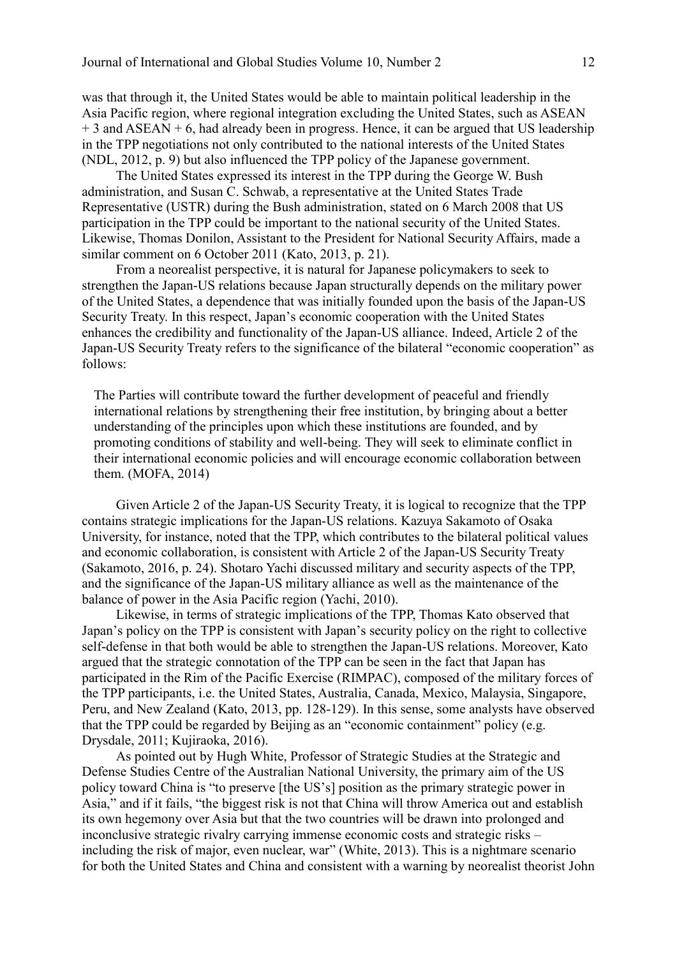was that through it, the United States would be able to maintain political leadership in the Asia Pacific region, where regional integration excluding the United States, such as ASEAN  $+ 3$  and ASEAN  $+ 6$ , had already been in progress. Hence, it can be argued that US leadership in the TPP negotiations not only contributed to the national interests of the United States (NDL, 2012, p. 9) but also influenced the TPP policy of the Japanese government.

The United States expressed its interest in the TPP during the George W. Bush administration, and Susan C. Schwab, a representative at the United States Trade Representative (USTR) during the Bush administration, stated on 6 March 2008 that US participation in the TPP could be important to the national security of the United States. Likewise, Thomas Donilon, Assistant to the President for National Security Affairs, made a similar comment on 6 October 2011 (Kato, 2013, p. 21).

From a neorealist perspective, it is natural for Japanese policymakers to seek to strengthen the Japan-US relations because Japan structurally depends on the military power of the United States, a dependence that was initially founded upon the basis of the Japan-US Security Treaty. In this respect, Japan's economic cooperation with the United States enhances the credibility and functionality of the Japan-US alliance. Indeed, Article 2 of the Japan-US Security Treaty refers to the significance of the bilateral "economic cooperation" as follows:

The Parties will contribute toward the further development of peaceful and friendly international relations by strengthening their free institution, by bringing about a better understanding of the principles upon which these institutions are founded, and by promoting conditions of stability and well-being. They will seek to eliminate conflict in their international economic policies and will encourage economic collaboration between them. (MOFA, 2014)

Given Article 2 of the Japan-US Security Treaty, it is logical to recognize that the TPP contains strategic implications for the Japan-US relations. Kazuya Sakamoto of Osaka University, for instance, noted that the TPP, which contributes to the bilateral political values and economic collaboration, is consistent with Article 2 of the Japan-US Security Treaty (Sakamoto, 2016, p. 24). Shotaro Yachi discussed military and security aspects of the TPP, and the significance of the Japan-US military alliance as well as the maintenance of the balance of power in the Asia Pacific region (Yachi, 2010).

Likewise, in terms of strategic implications of the TPP, Thomas Kato observed that Japan's policy on the TPP is consistent with Japan's security policy on the right to collective self-defense in that both would be able to strengthen the Japan-US relations. Moreover, Kato argued that the strategic connotation of the TPP can be seen in the fact that Japan has participated in the Rim of the Pacific Exercise (RIMPAC), composed of the military forces of the TPP participants, i.e. the United States, Australia, Canada, Mexico, Malaysia, Singapore, Peru, and New Zealand (Kato, 2013, pp. 128-129). In this sense, some analysts have observed that the TPP could be regarded by Beijing as an "economic containment" policy (e.g. Drysdale, 2011; Kujiraoka, 2016).

As pointed out by Hugh White, Professor of Strategic Studies at the Strategic and Defense Studies Centre of the Australian National University, the primary aim of the US policy toward China is "to preserve [the US's] position as the primary strategic power in Asia," and if it fails, "the biggest risk is not that China will throw America out and establish its own hegemony over Asia but that the two countries will be drawn into prolonged and inconclusive strategic rivalry carrying immense economic costs and strategic risks – including the risk of major, even nuclear, war" (White, 2013). This is a nightmare scenario for both the United States and China and consistent with a warning by neorealist theorist John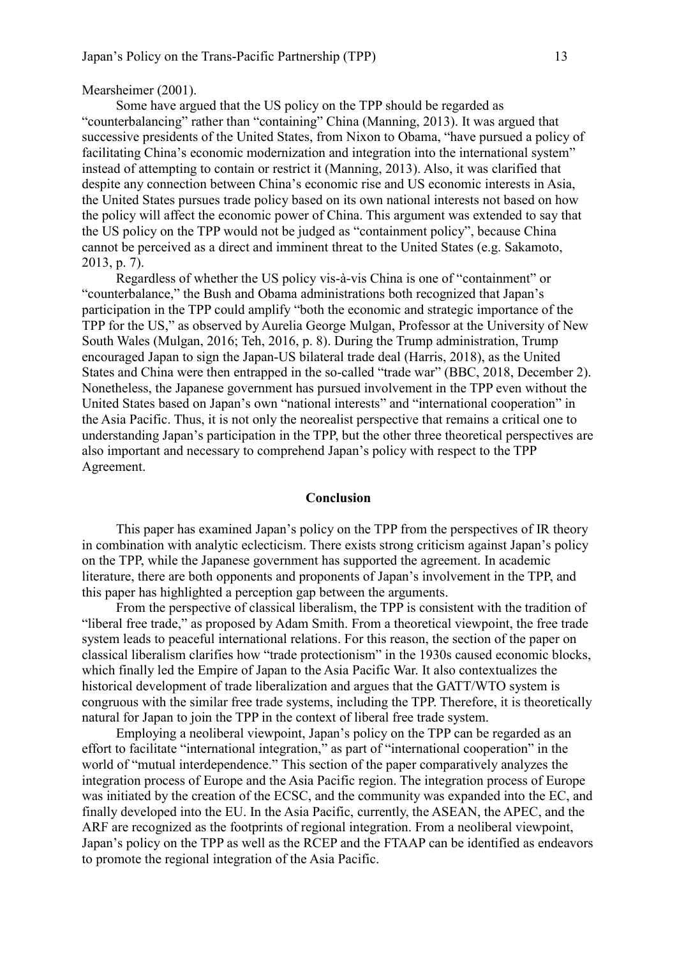#### Mearsheimer (2001).

Some have argued that the US policy on the TPP should be regarded as "counterbalancing" rather than "containing" China (Manning, 2013). It was argued that successive presidents of the United States, from Nixon to Obama, "have pursued a policy of facilitating China's economic modernization and integration into the international system" instead of attempting to contain or restrict it (Manning, 2013). Also, it was clarified that despite any connection between China's economic rise and US economic interests in Asia, the United States pursues trade policy based on its own national interests not based on how the policy will affect the economic power of China. This argument was extended to say that the US policy on the TPP would not be judged as "containment policy", because China cannot be perceived as a direct and imminent threat to the United States (e.g. Sakamoto, 2013, p. 7).

Regardless of whether the US policy vis-à-vis China is one of "containment" or "counterbalance," the Bush and Obama administrations both recognized that Japan's participation in the TPP could amplify "both the economic and strategic importance of the TPP for the US," as observed by Aurelia George Mulgan, Professor at the University of New South Wales (Mulgan, 2016; Teh, 2016, p. 8). During the Trump administration, Trump encouraged Japan to sign the Japan-US bilateral trade deal (Harris, 2018), as the United States and China were then entrapped in the so-called "trade war" (BBC, 2018, December 2). Nonetheless, the Japanese government has pursued involvement in the TPP even without the United States based on Japan's own "national interests" and "international cooperation" in the Asia Pacific. Thus, it is not only the neorealist perspective that remains a critical one to understanding Japan's participation in the TPP, but the other three theoretical perspectives are also important and necessary to comprehend Japan's policy with respect to the TPP Agreement.

#### **Conclusion**

This paper has examined Japan's policy on the TPP from the perspectives of IR theory in combination with analytic eclecticism. There exists strong criticism against Japan's policy on the TPP, while the Japanese government has supported the agreement. In academic literature, there are both opponents and proponents of Japan's involvement in the TPP, and this paper has highlighted a perception gap between the arguments.

From the perspective of classical liberalism, the TPP is consistent with the tradition of "liberal free trade," as proposed by Adam Smith. From a theoretical viewpoint, the free trade system leads to peaceful international relations. For this reason, the section of the paper on classical liberalism clarifies how "trade protectionism" in the 1930s caused economic blocks, which finally led the Empire of Japan to the Asia Pacific War. It also contextualizes the historical development of trade liberalization and argues that the GATT/WTO system is congruous with the similar free trade systems, including the TPP. Therefore, it is theoretically natural for Japan to join the TPP in the context of liberal free trade system.

Employing a neoliberal viewpoint, Japan's policy on the TPP can be regarded as an effort to facilitate "international integration," as part of "international cooperation" in the world of "mutual interdependence." This section of the paper comparatively analyzes the integration process of Europe and the Asia Pacific region. The integration process of Europe was initiated by the creation of the ECSC, and the community was expanded into the EC, and finally developed into the EU. In the Asia Pacific, currently, the ASEAN, the APEC, and the ARF are recognized as the footprints of regional integration. From a neoliberal viewpoint, Japan's policy on the TPP as well as the RCEP and the FTAAP can be identified as endeavors to promote the regional integration of the Asia Pacific.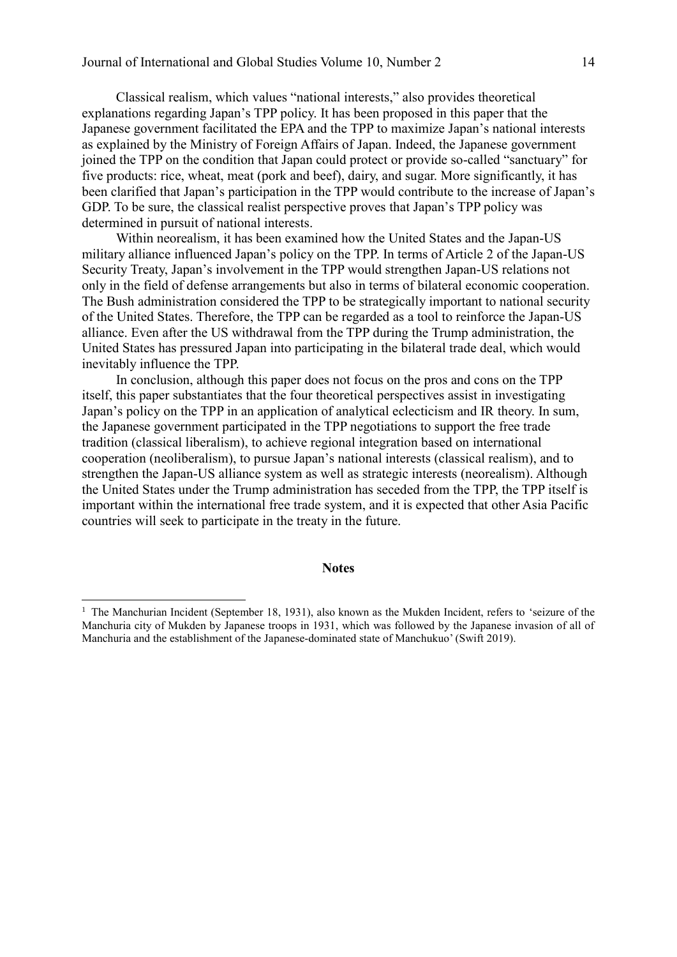Classical realism, which values "national interests," also provides theoretical explanations regarding Japan's TPP policy. It has been proposed in this paper that the Japanese government facilitated the EPA and the TPP to maximize Japan's national interests as explained by the Ministry of Foreign Affairs of Japan. Indeed, the Japanese government joined the TPP on the condition that Japan could protect or provide so-called "sanctuary" for five products: rice, wheat, meat (pork and beef), dairy, and sugar. More significantly, it has been clarified that Japan's participation in the TPP would contribute to the increase of Japan's GDP. To be sure, the classical realist perspective proves that Japan's TPP policy was determined in pursuit of national interests.

Within neorealism, it has been examined how the United States and the Japan-US military alliance influenced Japan's policy on the TPP. In terms of Article 2 of the Japan-US Security Treaty, Japan's involvement in the TPP would strengthen Japan-US relations not only in the field of defense arrangements but also in terms of bilateral economic cooperation. The Bush administration considered the TPP to be strategically important to national security of the United States. Therefore, the TPP can be regarded as a tool to reinforce the Japan-US alliance. Even after the US withdrawal from the TPP during the Trump administration, the United States has pressured Japan into participating in the bilateral trade deal, which would inevitably influence the TPP.

In conclusion, although this paper does not focus on the pros and cons on the TPP itself, this paper substantiates that the four theoretical perspectives assist in investigating Japan's policy on the TPP in an application of analytical eclecticism and IR theory. In sum, the Japanese government participated in the TPP negotiations to support the free trade tradition (classical liberalism), to achieve regional integration based on international cooperation (neoliberalism), to pursue Japan's national interests (classical realism), and to strengthen the Japan-US alliance system as well as strategic interests (neorealism). Although the United States under the Trump administration has seceded from the TPP, the TPP itself is important within the international free trade system, and it is expected that other Asia Pacific countries will seek to participate in the treaty in the future.

#### **Notes**

-

<sup>&</sup>lt;sup>1</sup> The Manchurian Incident (September 18, 1931), also known as the Mukden Incident, refers to 'seizure of the Manchuria city of Mukden by Japanese troops in 1931, which was followed by the Japanese invasion of all of Manchuria and the establishment of the Japanese-dominated state of Manchukuo' (Swift 2019).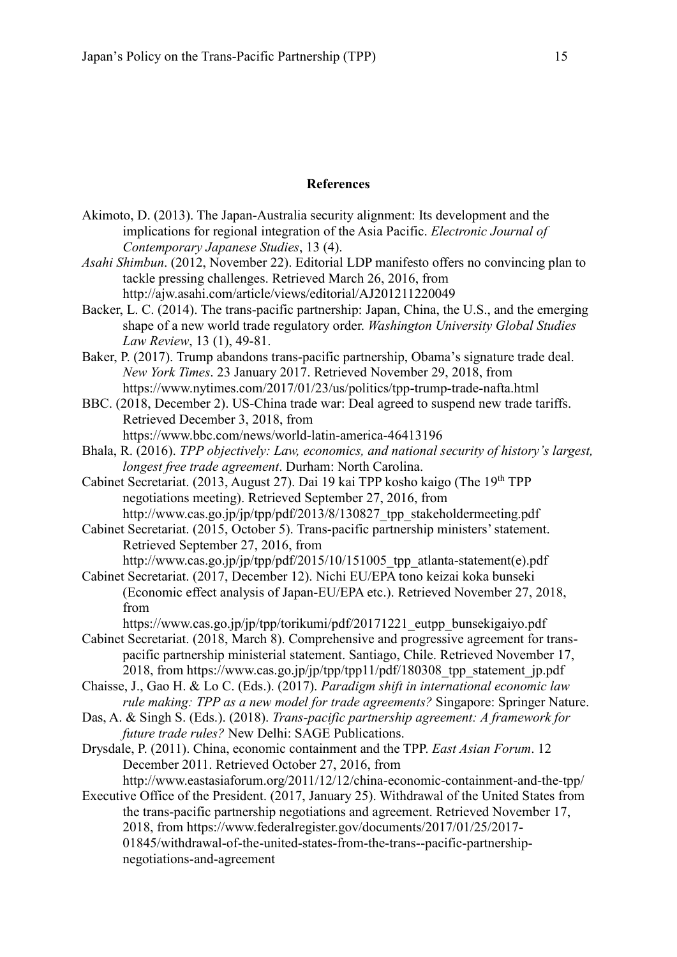# **References**

- Akimoto, D. (2013). The Japan-Australia security alignment: Its development and the implications for regional integration of the Asia Pacific. *Electronic Journal of Contemporary Japanese Studies*, 13 (4).
- *Asahi Shimbun*. (2012, November 22). Editorial LDP manifesto offers no convincing plan to tackle pressing challenges. Retrieved March 26, 2016, from http://ajw.asahi.com/article/views/editorial/AJ201211220049
- Backer, L. C. (2014). The trans-pacific partnership: Japan, China, the U.S., and the emerging shape of a new world trade regulatory order. *Washington University Global Studies Law Review*, 13 (1), 49-81.
- Baker, P. (2017). Trump abandons trans-pacific partnership, Obama's signature trade deal. *New York Times*. 23 January 2017. Retrieved November 29, 2018, from https://www.nytimes.com/2017/01/23/us/politics/tpp-trump-trade-nafta.html
- BBC. (2018, December 2). US-China trade war: Deal agreed to suspend new trade tariffs. Retrieved December 3, 2018, from https://www.bbc.com/news/world-latin-america-46413196
- Bhala, R. (2016). *TPP objectively: Law, economics, and national security of history's largest, longest free trade agreement*. Durham: North Carolina.
- Cabinet Secretariat. (2013, August 27). Dai 19 kai TPP kosho kaigo (The 19<sup>th</sup> TPP negotiations meeting). Retrieved September 27, 2016, from http://www.cas.go.jp/jp/tpp/pdf/2013/8/130827 tpp\_stakeholdermeeting.pdf
- Cabinet Secretariat. (2015, October 5). Trans-pacific partnership ministers' statement. Retrieved September 27, 2016, from
- http://www.cas.go.jp/jp/tpp/pdf/2015/10/151005\_tpp\_atlanta-statement(e).pdf Cabinet Secretariat. (2017, December 12). Nichi EU/EPA tono keizai koka bunseki
- (Economic effect analysis of Japan-EU/EPA etc.). Retrieved November 27, 2018, from
	- https://www.cas.go.jp/jp/tpp/torikumi/pdf/20171221\_eutpp\_bunsekigaiyo.pdf
- Cabinet Secretariat. (2018, March 8). Comprehensive and progressive agreement for transpacific partnership ministerial statement. Santiago, Chile. Retrieved November 17, 2018, from https://www.cas.go.jp/jp/tpp/tpp11/pdf/180308\_tpp\_statement\_jp.pdf
- Chaisse, J., Gao H. & Lo C. (Eds.). (2017). *Paradigm shift in international economic law rule making: TPP as a new model for trade agreements?* Singapore: Springer Nature.
- Das, A. & Singh S. (Eds.). (2018). *Trans-pacific partnership agreement: A framework for future trade rules?* New Delhi: SAGE Publications.
- Drysdale, P. (2011). China, economic containment and the TPP. *East Asian Forum*. 12 December 2011. Retrieved October 27, 2016, from
- http://www.eastasiaforum.org/2011/12/12/china-economic-containment-and-the-tpp/ Executive Office of the President. (2017, January 25). Withdrawal of the United States from the trans-pacific partnership negotiations and agreement. Retrieved November 17, 2018, from https://www.federalregister.gov/documents/2017/01/25/2017- 01845/withdrawal-of-the-united-states-from-the-trans--pacific-partnershipnegotiations-and-agreement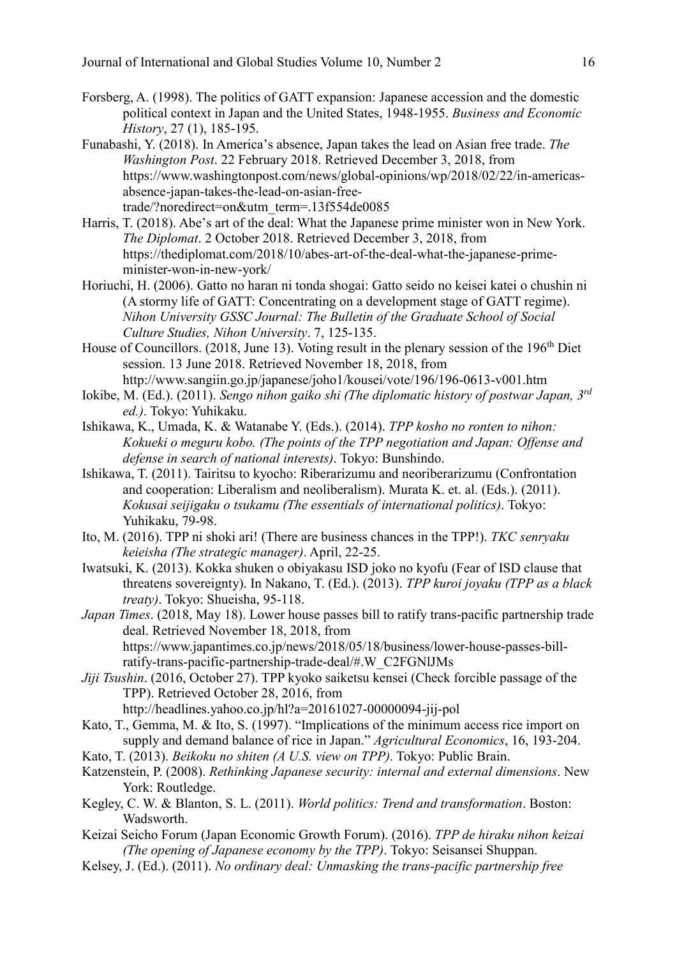- Forsberg, A. (1998). The politics of GATT expansion: Japanese accession and the domestic political context in Japan and the United States, 1948-1955. *Business and Economic History*, 27 (1), 185-195.
- Funabashi, Y. (2018). In America's absence, Japan takes the lead on Asian free trade. *The Washington Post*. 22 February 2018. Retrieved December 3, 2018, from https://www.washingtonpost.com/news/global-opinions/wp/2018/02/22/in-americasabsence-japan-takes-the-lead-on-asian-freetrade/?noredirect=on&utm\_term=.13f554de0085
- Harris, T. (2018). Abe's art of the deal: What the Japanese prime minister won in New York. *The Diplomat*. 2 October 2018. Retrieved December 3, 2018, from https://thediplomat.com/2018/10/abes-art-of-the-deal-what-the-japanese-primeminister-won-in-new-york/
- Horiuchi, H. (2006). Gatto no haran ni tonda shogai: Gatto seido no keisei katei o chushin ni (A stormy life of GATT: Concentrating on a development stage of GATT regime). *Nihon University GSSC Journal: The Bulletin of the Graduate School of Social Culture Studies, Nihon University*. 7, 125-135.
- House of Councillors. (2018, June 13). Voting result in the plenary session of the 196<sup>th</sup> Diet session. 13 June 2018. Retrieved November 18, 2018, from http://www.sangiin.go.jp/japanese/joho1/kousei/vote/196/196-0613-v001.htm
- Iokibe, M. (Ed.). (2011). *Sengo nihon gaiko shi (The diplomatic history of postwar Japan, 3rd ed.)*. Tokyo: Yuhikaku.
- Ishikawa, K., Umada, K. & Watanabe Y. (Eds.). (2014). *TPP kosho no ronten to nihon: Kokueki o meguru kobo. (The points of the TPP negotiation and Japan: Offense and defense in search of national interests)*. Tokyo: Bunshindo.
- Ishikawa, T. (2011). Tairitsu to kyocho: Riberarizumu and neoriberarizumu (Confrontation and cooperation: Liberalism and neoliberalism). Murata K. et. al. (Eds.). (2011). *Kokusai seijigaku o tsukamu (The essentials of international politics)*. Tokyo: Yuhikaku, 79-98.
- Ito, M. (2016). TPP ni shoki ari! (There are business chances in the TPP!). *TKC senryaku keieisha (The strategic manager)*. April, 22-25.
- Iwatsuki, K. (2013). Kokka shuken o obiyakasu ISD joko no kyofu (Fear of ISD clause that threatens sovereignty). In Nakano, T. (Ed.). (2013). *TPP kuroi joyaku (TPP as a black treaty)*. Tokyo: Shueisha, 95-118.
- *Japan Times*. (2018, May 18). Lower house passes bill to ratify trans-pacific partnership trade deal. Retrieved November 18, 2018, from https://www.japantimes.co.jp/news/2018/05/18/business/lower-house-passes-billratify-trans-pacific-partnership-trade-deal/#.W\_C2FGNlJMs
- *Jiji Tsushin*. (2016, October 27). TPP kyoko saiketsu kensei (Check forcible passage of the TPP). Retrieved October 28, 2016, from http://headlines.yahoo.co.jp/hl?a=20161027-00000094-jij-pol
- Kato, T., Gemma, M. & Ito, S. (1997). "Implications of the minimum access rice import on supply and demand balance of rice in Japan." *Agricultural Economics*, 16, 193-204.
- Kato, T. (2013). *Beikoku no shiten (A U.S. view on TPP)*. Tokyo: Public Brain.
- Katzenstein, P. (2008). *Rethinking Japanese security: internal and external dimensions*. New York: Routledge.
- Kegley, C. W. & Blanton, S. L. (2011). *World politics: Trend and transformation*. Boston: Wadsworth.
- Keizai Seicho Forum (Japan Economic Growth Forum). (2016). *TPP de hiraku nihon keizai (The opening of Japanese economy by the TPP)*. Tokyo: Seisansei Shuppan.
- Kelsey, J. (Ed.). (2011). *No ordinary deal: Unmasking the trans-pacific partnership free*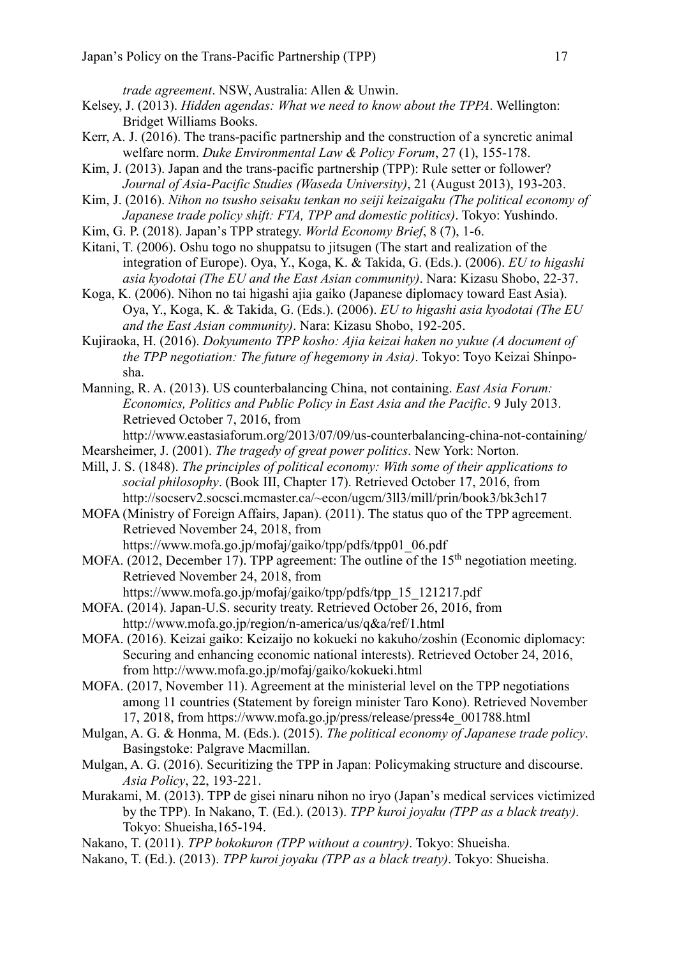*trade agreement*. NSW, Australia: Allen & Unwin.

- Kelsey, J. (2013). *Hidden agendas: What we need to know about the TPPA*. Wellington: Bridget Williams Books.
- Kerr, A. J. (2016). The trans-pacific partnership and the construction of a syncretic animal welfare norm. *Duke Environmental Law & Policy Forum*, 27 (1), 155-178.
- Kim, J. (2013). Japan and the trans-pacific partnership (TPP): Rule setter or follower? *Journal of Asia-Pacific Studies (Waseda University)*, 21 (August 2013), 193-203.
- Kim, J. (2016). *Nihon no tsusho seisaku tenkan no seiji keizaigaku (The political economy of Japanese trade policy shift: FTA, TPP and domestic politics)*. Tokyo: Yushindo.
- Kim, G. P. (2018). Japan's TPP strategy. *World Economy Brief*, 8 (7), 1-6.
- Kitani, T. (2006). Oshu togo no shuppatsu to jitsugen (The start and realization of the integration of Europe). Oya, Y., Koga, K. & Takida, G. (Eds.). (2006). *EU to higashi asia kyodotai (The EU and the East Asian community)*. Nara: Kizasu Shobo, 22-37.
- Koga, K. (2006). Nihon no tai higashi ajia gaiko (Japanese diplomacy toward East Asia). Oya, Y., Koga, K. & Takida, G. (Eds.). (2006). *EU to higashi asia kyodotai (The EU and the East Asian community)*. Nara: Kizasu Shobo, 192-205.
- Kujiraoka, H. (2016). *Dokyumento TPP kosho: Ajia keizai haken no yukue (A document of the TPP negotiation: The future of hegemony in Asia)*. Tokyo: Toyo Keizai Shinposha.
- Manning, R. A. (2013). US counterbalancing China, not containing. *East Asia Forum: Economics, Politics and Public Policy in East Asia and the Pacific*. 9 July 2013. Retrieved October 7, 2016, from
- http://www.eastasiaforum.org/2013/07/09/us-counterbalancing-china-not-containing/ Mearsheimer, J. (2001). *The tragedy of great power politics*. New York: Norton.
- Mill, J. S. (1848). *The principles of political economy: With some of their applications to social philosophy*. (Book III, Chapter 17). Retrieved October 17, 2016, from http://socserv2.socsci.mcmaster.ca/~econ/ugcm/3ll3/mill/prin/book3/bk3ch17
- MOFA (Ministry of Foreign Affairs, Japan). (2011). The status quo of the TPP agreement. Retrieved November 24, 2018, from https://www.mofa.go.jp/mofaj/gaiko/tpp/pdfs/tpp01\_06.pdf
- MOFA.  $(2012,$  December 17). TPP agreement: The outline of the 15<sup>th</sup> negotiation meeting. Retrieved November 24, 2018, from
	- https://www.mofa.go.jp/mofaj/gaiko/tpp/pdfs/tpp\_15\_121217.pdf
- MOFA. (2014). Japan-U.S. security treaty. Retrieved October 26, 2016, from http://www.mofa.go.jp/region/n-america/us/q&a/ref/1.html
- MOFA. (2016). Keizai gaiko: Keizaijo no kokueki no kakuho/zoshin (Economic diplomacy: Securing and enhancing economic national interests). Retrieved October 24, 2016, from http://www.mofa.go.jp/mofaj/gaiko/kokueki.html
- MOFA. (2017, November 11). Agreement at the ministerial level on the TPP negotiations among 11 countries (Statement by foreign minister Taro Kono). Retrieved November 17, 2018, from https://www.mofa.go.jp/press/release/press4e\_001788.html
- Mulgan, A. G. & Honma, M. (Eds.). (2015). *The political economy of Japanese trade policy*. Basingstoke: Palgrave Macmillan.
- Mulgan, A. G. (2016). Securitizing the TPP in Japan: Policymaking structure and discourse. *Asia Policy*, 22, 193-221.
- Murakami, M. (2013). TPP de gisei ninaru nihon no iryo (Japan's medical services victimized by the TPP). In Nakano, T. (Ed.). (2013). *TPP kuroi joyaku (TPP as a black treaty)*. Tokyo: Shueisha,165-194.
- Nakano, T. (2011). *TPP bokokuron (TPP without a country)*. Tokyo: Shueisha.
- Nakano, T. (Ed.). (2013). *TPP kuroi joyaku (TPP as a black treaty)*. Tokyo: Shueisha.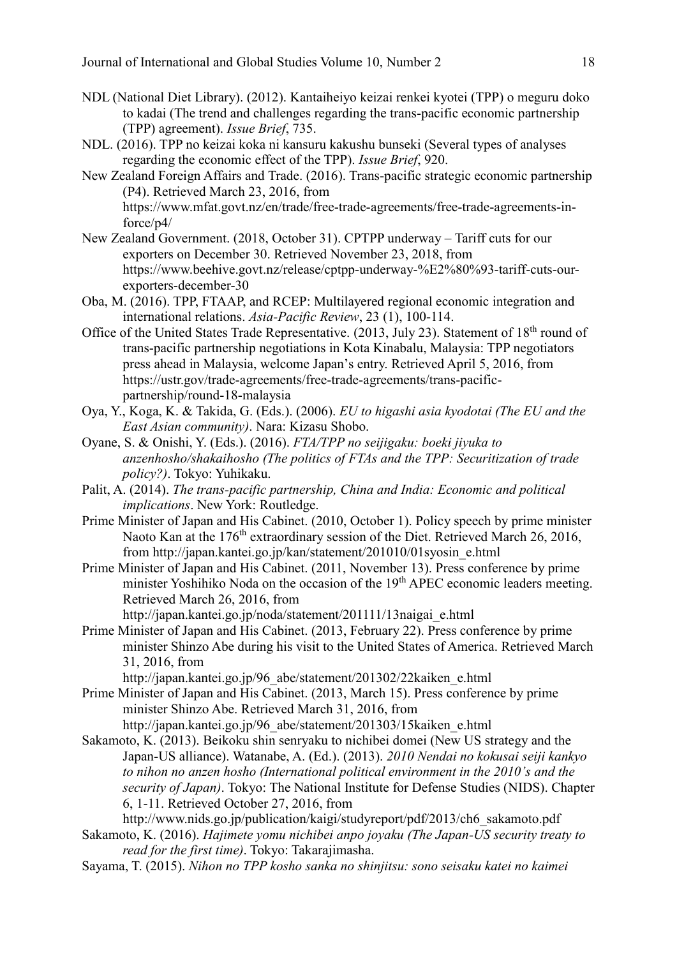- NDL (National Diet Library). (2012). Kantaiheiyo keizai renkei kyotei (TPP) o meguru doko to kadai (The trend and challenges regarding the trans-pacific economic partnership (TPP) agreement). *Issue Brief*, 735.
- NDL. (2016). TPP no keizai koka ni kansuru kakushu bunseki (Several types of analyses regarding the economic effect of the TPP). *Issue Brief*, 920.
- New Zealand Foreign Affairs and Trade. (2016). Trans-pacific strategic economic partnership (P4). Retrieved March 23, 2016, from https://www.mfat.govt.nz/en/trade/free-trade-agreements/free-trade-agreements-inforce/p4/
- New Zealand Government. (2018, October 31). CPTPP underway Tariff cuts for our exporters on December 30. Retrieved November 23, 2018, from https://www.beehive.govt.nz/release/cptpp-underway-%E2%80%93-tariff-cuts-ourexporters-december-30
- Oba, M. (2016). TPP, FTAAP, and RCEP: Multilayered regional economic integration and international relations. *Asia-Pacific Review*, 23 (1), 100-114.
- Office of the United States Trade Representative. (2013, July 23). Statement of 18<sup>th</sup> round of trans-pacific partnership negotiations in Kota Kinabalu, Malaysia: TPP negotiators press ahead in Malaysia, welcome Japan's entry. Retrieved April 5, 2016, from https://ustr.gov/trade-agreements/free-trade-agreements/trans-pacificpartnership/round-18-malaysia
- Oya, Y., Koga, K. & Takida, G. (Eds.). (2006). *EU to higashi asia kyodotai (The EU and the East Asian community)*. Nara: Kizasu Shobo.
- Oyane, S. & Onishi, Y. (Eds.). (2016). *FTA/TPP no seijigaku: boeki jiyuka to anzenhosho/shakaihosho (The politics of FTAs and the TPP: Securitization of trade policy?)*. Tokyo: Yuhikaku.
- Palit, A. (2014). *The trans-pacific partnership, China and India: Economic and political implications*. New York: Routledge.
- Prime Minister of Japan and His Cabinet. (2010, October 1). Policy speech by prime minister Naoto Kan at the 176<sup>th</sup> extraordinary session of the Diet. Retrieved March 26, 2016, from http://japan.kantei.go.jp/kan/statement/201010/01syosin\_e.html
- Prime Minister of Japan and His Cabinet. (2011, November 13). Press conference by prime minister Yoshihiko Noda on the occasion of the 19<sup>th</sup> APEC economic leaders meeting. Retrieved March 26, 2016, from

http://japan.kantei.go.jp/noda/statement/201111/13naigai\_e.html

Prime Minister of Japan and His Cabinet. (2013, February 22). Press conference by prime minister Shinzo Abe during his visit to the United States of America. Retrieved March 31, 2016, from

http://japan.kantei.go.jp/96\_abe/statement/201302/22kaiken\_e.html

Prime Minister of Japan and His Cabinet. (2013, March 15). Press conference by prime minister Shinzo Abe. Retrieved March 31, 2016, from

http://japan.kantei.go.jp/96\_abe/statement/201303/15kaiken\_e.html

Sakamoto, K. (2013). Beikoku shin senryaku to nichibei domei (New US strategy and the Japan-US alliance). Watanabe, A. (Ed.). (2013). *2010 Nendai no kokusai seiji kankyo to nihon no anzen hosho (International political environment in the 2010's and the security of Japan)*. Tokyo: The National Institute for Defense Studies (NIDS). Chapter 6, 1-11. Retrieved October 27, 2016, from

http://www.nids.go.jp/publication/kaigi/studyreport/pdf/2013/ch6\_sakamoto.pdf

- Sakamoto, K. (2016). *Hajimete yomu nichibei anpo joyaku (The Japan-US security treaty to read for the first time)*. Tokyo: Takarajimasha.
- Sayama, T. (2015). *Nihon no TPP kosho sanka no shinjitsu: sono seisaku katei no kaimei*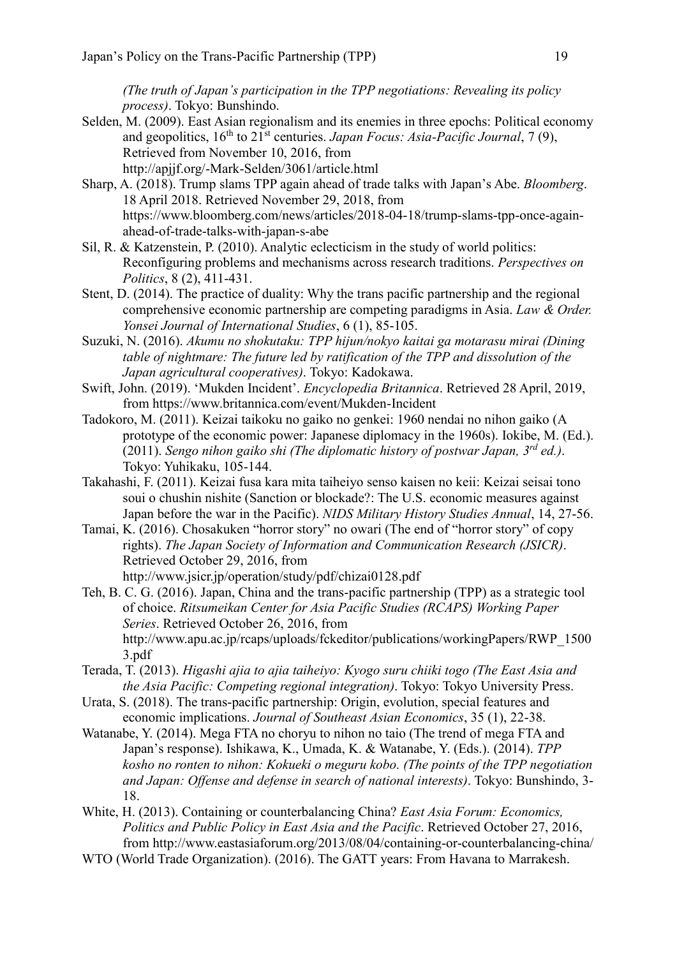*(The truth of Japan's participation in the TPP negotiations: Revealing its policy process)*. Tokyo: Bunshindo.

- Selden, M. (2009). East Asian regionalism and its enemies in three epochs: Political economy and geopolitics, 16th to 21st centuries. *Japan Focus: Asia-Pacific Journal*, 7 (9), Retrieved from November 10, 2016, from http://apjjf.org/-Mark-Selden/3061/article.html
- Sharp, A. (2018). Trump slams TPP again ahead of trade talks with Japan's Abe. *Bloomberg*. 18 April 2018. Retrieved November 29, 2018, from https://www.bloomberg.com/news/articles/2018-04-18/trump-slams-tpp-once-againahead-of-trade-talks-with-japan-s-abe
- Sil, R. & Katzenstein, P. (2010). Analytic eclecticism in the study of world politics: Reconfiguring problems and mechanisms across research traditions. *Perspectives on Politics*, 8 (2), 411-431.
- Stent, D. (2014). The practice of duality: Why the trans pacific partnership and the regional comprehensive economic partnership are competing paradigms in Asia. *Law & Order. Yonsei Journal of International Studies*, 6 (1), 85-105.
- Suzuki, N. (2016). *Akumu no shokutaku: TPP hijun/nokyo kaitai ga motarasu mirai (Dining table of nightmare: The future led by ratification of the TPP and dissolution of the Japan agricultural cooperatives)*. Tokyo: Kadokawa.
- Swift, John. (2019). 'Mukden Incident'. *Encyclopedia Britannica*. Retrieved 28 April, 2019, from https://www.britannica.com/event/Mukden-Incident
- Tadokoro, M. (2011). Keizai taikoku no gaiko no genkei: 1960 nendai no nihon gaiko (A prototype of the economic power: Japanese diplomacy in the 1960s). Iokibe, M. (Ed.). (2011). *Sengo nihon gaiko shi (The diplomatic history of postwar Japan, 3rd ed.)*. Tokyo: Yuhikaku, 105-144.
- Takahashi, F. (2011). Keizai fusa kara mita taiheiyo senso kaisen no keii: Keizai seisai tono soui o chushin nishite (Sanction or blockade?: The U.S. economic measures against Japan before the war in the Pacific). *NIDS Military History Studies Annual*, 14, 27-56.
- Tamai, K. (2016). Chosakuken "horror story" no owari (The end of "horror story" of copy rights). *The Japan Society of Information and Communication Research (JSICR)*. Retrieved October 29, 2016, from

http://www.jsicr.jp/operation/study/pdf/chizai0128.pdf

Teh, B. C. G. (2016). Japan, China and the trans-pacific partnership (TPP) as a strategic tool of choice. *Ritsumeikan Center for Asia Pacific Studies (RCAPS) Working Paper Series*. Retrieved October 26, 2016, from http://www.apu.ac.jp/rcaps/uploads/fckeditor/publications/workingPapers/RWP\_1500 3.pdf

- Terada, T. (2013). *Higashi ajia to ajia taiheiyo: Kyogo suru chiiki togo (The East Asia and the Asia Pacific: Competing regional integration)*. Tokyo: Tokyo University Press.
- Urata, S. (2018). The trans-pacific partnership: Origin, evolution, special features and economic implications. *Journal of Southeast Asian Economics*, 35 (1), 22-38.
- Watanabe, Y. (2014). Mega FTA no choryu to nihon no taio (The trend of mega FTA and Japan's response). Ishikawa, K., Umada, K. & Watanabe, Y. (Eds.). (2014). *TPP kosho no ronten to nihon: Kokueki o meguru kobo. (The points of the TPP negotiation and Japan: Offense and defense in search of national interests)*. Tokyo: Bunshindo, 3- 18.
- White, H. (2013). Containing or counterbalancing China? *East Asia Forum: Economics, Politics and Public Policy in East Asia and the Pacific*. Retrieved October 27, 2016, from http://www.eastasiaforum.org/2013/08/04/containing-or-counterbalancing-china/
- WTO (World Trade Organization). (2016). The GATT years: From Havana to Marrakesh.